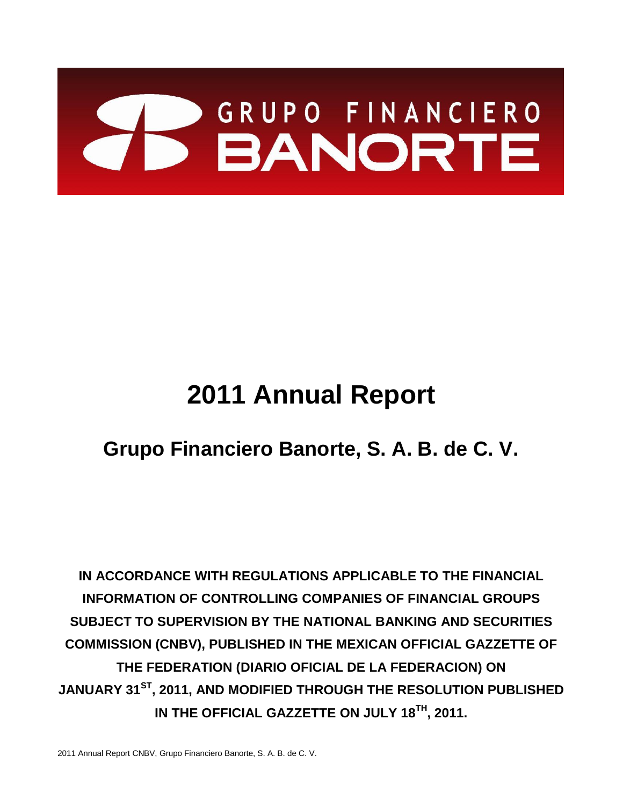

# **2011 Annual Report**

# **Grupo Financiero Banorte, S. A. B. de C. V.**

**IN ACCORDANCE WITH REGULATIONS APPLICABLE TO THE FINANCIAL INFORMATION OF CONTROLLING COMPANIES OF FINANCIAL GROUPS SUBJECT TO SUPERVISION BY THE NATIONAL BANKING AND SECURITIES COMMISSION (CNBV), PUBLISHED IN THE MEXICAN OFFICIAL GAZZETTE OF THE FEDERATION (DIARIO OFICIAL DE LA FEDERACION) ON JANUARY 31ST, 2011, AND MODIFIED THROUGH THE RESOLUTION PUBLISHED IN THE OFFICIAL GAZZETTE ON JULY 18TH, 2011.**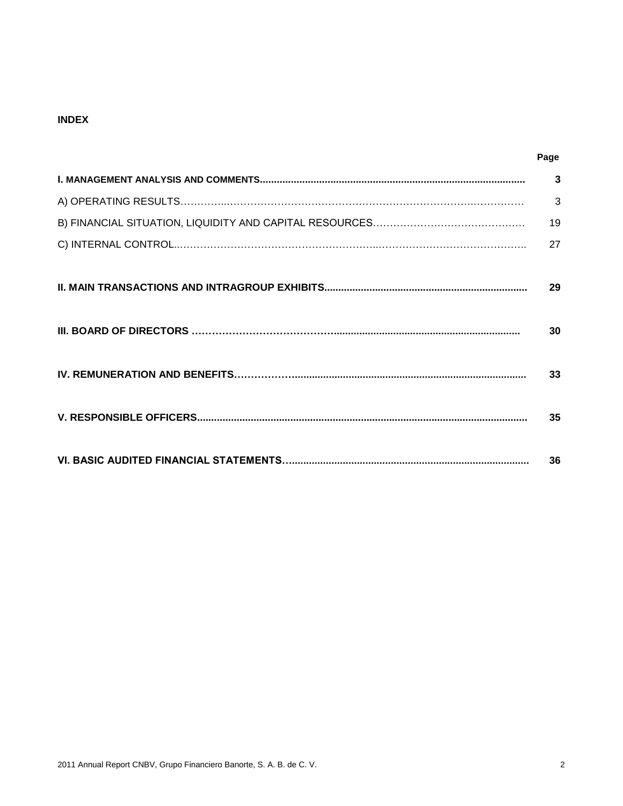#### **INDEX**

| Page           |
|----------------|
| $\overline{3}$ |
| 3              |
| 19             |
| 27             |
| 29             |
| 30             |
| 33             |
| 35             |
| 36             |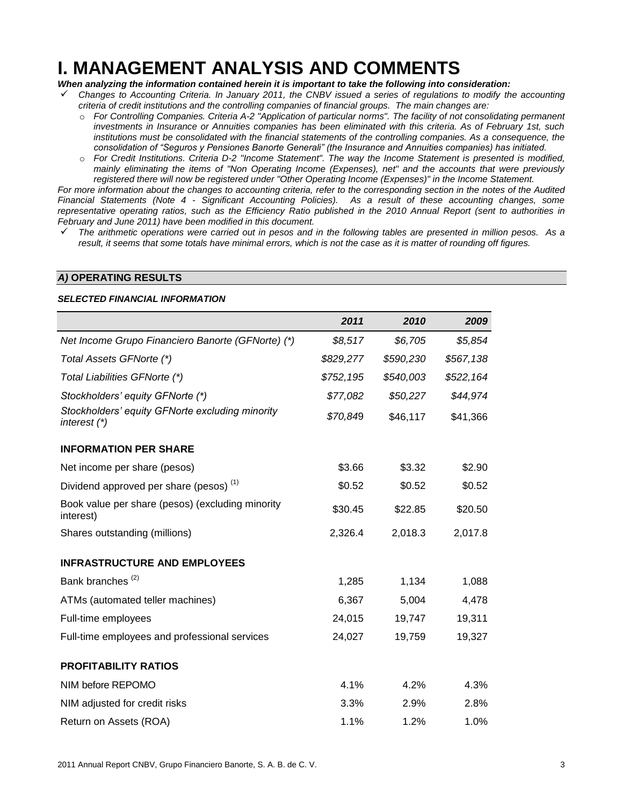### **I. MANAGEMENT ANALYSIS AND COMMENTS**

#### *When analyzing the information contained herein it is important to take the following into consideration:*

- *Changes to Accounting Criteria. In January 2011, the CNBV issued a series of regulations to modify the accounting criteria of credit institutions and the controlling companies of financial groups. The main changes are:*
	- o *For Controlling Companies. Criteria A-2 "Application of particular norms". The facility of not consolidating permanent investments in Insurance or Annuities companies has been eliminated with this criteria. As of February 1st, such institutions must be consolidated with the financial statements of the controlling companies. As a consequence, the consolidation of "Seguros y Pensiones Banorte Generali" (the Insurance and Annuities companies) has initiated.*
	- o *For Credit Institutions. Criteria D-2 "Income Statement". The way the Income Statement is presented is modified, mainly eliminating the items of "Non Operating Income (Expenses), net" and the accounts that were previously registered there will now be registered under "Other Operating Income (Expenses)" in the Income Statement.*

*For more information about the changes to accounting criteria, refer to the corresponding section in the notes of the Audited Financial Statements (Note 4 - Significant Accounting Policies). As a result of these accounting changes, some representative operating ratios, such as the Efficiency Ratio published in the 2010 Annual Report (sent to authorities in February and June 2011) have been modified in this document.*

 *The arithmetic operations were carried out in pesos and in the following tables are presented in million pesos. As a result, it seems that some totals have minimal errors, which is not the case as it is matter of rounding off figures.*

#### *A)* **OPERATING RESULTS**

#### *SELECTED FINANCIAL INFORMATION*

|                                                                   | 2011      | 2010      | 2009      |
|-------------------------------------------------------------------|-----------|-----------|-----------|
| Net Income Grupo Financiero Banorte (GFNorte) (*)                 | \$8,517   | \$6,705   | \$5,854   |
| Total Assets GFNorte (*)                                          | \$829,277 | \$590,230 | \$567,138 |
| Total Liabilities GFNorte (*)                                     | \$752,195 | \$540,003 | \$522,164 |
| Stockholders' equity GFNorte (*)                                  | \$77,082  | \$50,227  | \$44,974  |
| Stockholders' equity GFNorte excluding minority<br>interest $(*)$ | \$70,849  | \$46,117  | \$41,366  |
| <b>INFORMATION PER SHARE</b>                                      |           |           |           |
| Net income per share (pesos)                                      | \$3.66    | \$3.32    | \$2.90    |
| Dividend approved per share (pesos) <sup>(1)</sup>                | \$0.52    | \$0.52    | \$0.52    |
| Book value per share (pesos) (excluding minority<br>interest)     | \$30.45   | \$22.85   | \$20.50   |
| Shares outstanding (millions)                                     | 2,326.4   | 2,018.3   | 2,017.8   |
| <b>INFRASTRUCTURE AND EMPLOYEES</b>                               |           |           |           |
| Bank branches <sup>(2)</sup>                                      | 1,285     | 1,134     | 1,088     |
| ATMs (automated teller machines)                                  | 6,367     | 5,004     | 4,478     |
| Full-time employees                                               | 24,015    | 19,747    | 19,311    |
| Full-time employees and professional services                     | 24,027    | 19,759    | 19,327    |
| <b>PROFITABILITY RATIOS</b>                                       |           |           |           |
| NIM before REPOMO                                                 | 4.1%      | 4.2%      | 4.3%      |
| NIM adjusted for credit risks                                     | 3.3%      | 2.9%      | 2.8%      |
| Return on Assets (ROA)                                            | 1.1%      | 1.2%      | 1.0%      |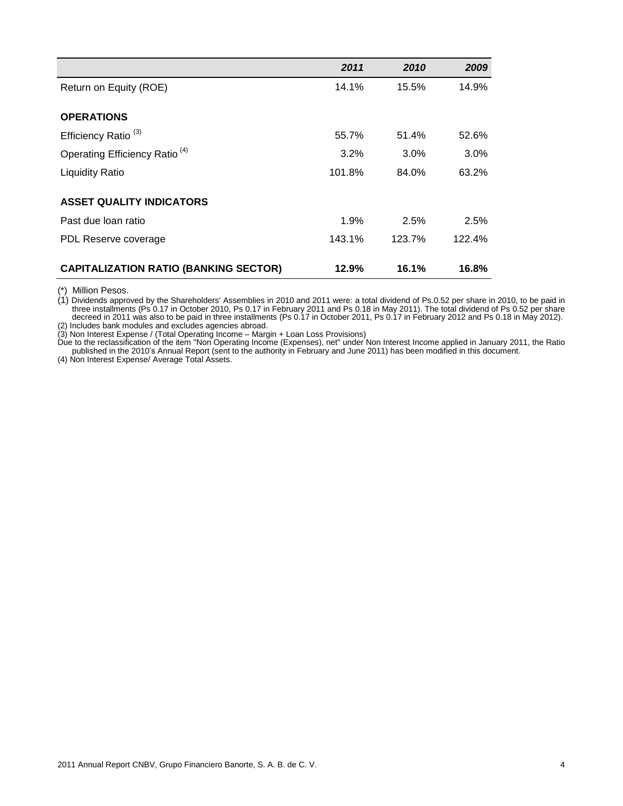|                                              | 2011   | 2010   | 2009   |
|----------------------------------------------|--------|--------|--------|
| Return on Equity (ROE)                       | 14.1%  | 15.5%  | 14.9%  |
|                                              |        |        |        |
| <b>OPERATIONS</b>                            |        |        |        |
| Efficiency Ratio <sup>(3)</sup>              | 55.7%  | 51.4%  | 52.6%  |
| Operating Efficiency Ratio <sup>(4)</sup>    | 3.2%   | 3.0%   | 3.0%   |
| <b>Liquidity Ratio</b>                       | 101.8% | 84.0%  | 63.2%  |
|                                              |        |        |        |
| <b>ASSET QUALITY INDICATORS</b>              |        |        |        |
| Past due loan ratio                          | 1.9%   | 2.5%   | 2.5%   |
| PDL Reserve coverage                         | 143.1% | 123.7% | 122.4% |
|                                              |        |        |        |
| <b>CAPITALIZATION RATIO (BANKING SECTOR)</b> | 12.9%  | 16.1%  | 16.8%  |

(\*) Million Pesos.

(1) Dividends approved by the Shareholders' Assemblies in 2010 and 2011 were: a total dividend of Ps.0.52 per share in 2010, to be paid in three installments (Ps 0.17 in October 2010, Ps 0.17 in February 2011 and Ps 0.18 in May 2011). The total dividend of Ps 0.52 per share decreed in 2011 was also to be paid in three installments (Ps 0.17 in October 2011, Ps 0.17 in February 2012 and Ps 0.18 in May 2012). (2) Includes bank modules and excludes agencies abroad.

(3) Non Interest Expense / (Total Operating Income – Margin + Loan Loss Provisions)

Due to the reclassification of the item "Non Operating Income (Expenses), net" under Non Interest Income applied in January 2011, the Ratio published in the 2010's Annual Report (sent to the authority in February and June 2011) has been modified in this document.

(4) Non Interest Expense/ Average Total Assets.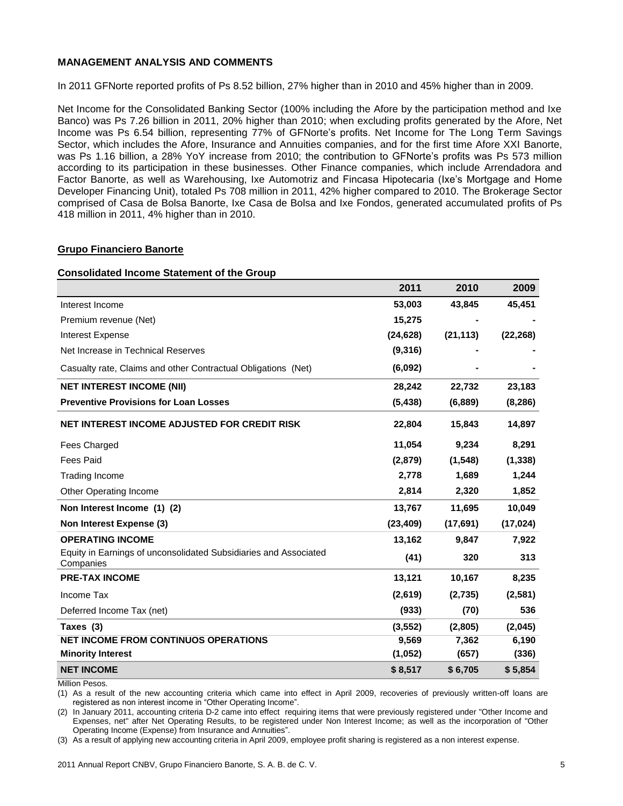#### **MANAGEMENT ANALYSIS AND COMMENTS**

In 2011 GFNorte reported profits of Ps 8.52 billion, 27% higher than in 2010 and 45% higher than in 2009.

Net Income for the Consolidated Banking Sector (100% including the Afore by the participation method and Ixe Banco) was Ps 7.26 billion in 2011, 20% higher than 2010; when excluding profits generated by the Afore, Net Income was Ps 6.54 billion, representing 77% of GFNorte's profits. Net Income for The Long Term Savings Sector, which includes the Afore, Insurance and Annuities companies, and for the first time Afore XXI Banorte, was Ps 1.16 billion, a 28% YoY increase from 2010; the contribution to GFNorte's profits was Ps 573 million according to its participation in these businesses. Other Finance companies, which include Arrendadora and Factor Banorte, as well as Warehousing, Ixe Automotriz and Fincasa Hipotecaria (Ixe's Mortgage and Home Developer Financing Unit), totaled Ps 708 million in 2011, 42% higher compared to 2010. The Brokerage Sector comprised of Casa de Bolsa Banorte, Ixe Casa de Bolsa and Ixe Fondos, generated accumulated profits of Ps 418 million in 2011, 4% higher than in 2010.

#### **Grupo Financiero Banorte**

#### **Consolidated Income Statement of the Group**

|                                                                               | 2011      | 2010      | 2009      |
|-------------------------------------------------------------------------------|-----------|-----------|-----------|
| Interest Income                                                               | 53,003    | 43,845    | 45,451    |
| Premium revenue (Net)                                                         | 15,275    |           |           |
| <b>Interest Expense</b>                                                       | (24, 628) | (21, 113) | (22, 268) |
| Net Increase in Technical Reserves                                            | (9,316)   |           |           |
| Casualty rate, Claims and other Contractual Obligations (Net)                 | (6,092)   |           |           |
| <b>NET INTEREST INCOME (NII)</b>                                              | 28,242    | 22,732    | 23,183    |
| <b>Preventive Provisions for Loan Losses</b>                                  | (5, 438)  | (6,889)   | (8, 286)  |
| NET INTEREST INCOME ADJUSTED FOR CREDIT RISK                                  | 22,804    | 15,843    | 14,897    |
| <b>Fees Charged</b>                                                           | 11,054    | 9,234     | 8,291     |
| <b>Fees Paid</b>                                                              | (2,879)   | (1, 548)  | (1, 338)  |
| <b>Trading Income</b>                                                         | 2,778     | 1,689     | 1,244     |
| Other Operating Income                                                        | 2,814     | 2,320     | 1,852     |
| Non Interest Income (1) (2)                                                   | 13,767    | 11,695    | 10,049    |
| Non Interest Expense (3)                                                      | (23, 409) | (17,691)  | (17, 024) |
| <b>OPERATING INCOME</b>                                                       | 13,162    | 9,847     | 7,922     |
| Equity in Earnings of unconsolidated Subsidiaries and Associated<br>Companies | (41)      | 320       | 313       |
| <b>PRE-TAX INCOME</b>                                                         | 13,121    | 10,167    | 8,235     |
| Income Tax                                                                    | (2,619)   | (2,735)   | (2,581)   |
| Deferred Income Tax (net)                                                     | (933)     | (70)      | 536       |
| Taxes (3)                                                                     | (3, 552)  | (2,805)   | (2,045)   |
| <b>NET INCOME FROM CONTINUOS OPERATIONS</b>                                   | 9,569     | 7,362     | 6,190     |
| <b>Minority Interest</b>                                                      | (1,052)   | (657)     | (336)     |
| <b>NET INCOME</b>                                                             | \$8,517   | \$6,705   | \$5,854   |

Million Pesos.

(1) As a result of the new accounting criteria which came into effect in April 2009, recoveries of previously written-off loans are registered as non interest income in "Other Operating Income".

(2) In January 2011, accounting criteria D-2 came into effect requiring items that were previously registered under "Other Income and Expenses, net" after Net Operating Results, to be registered under Non Interest Income; as well as the incorporation of "Other Operating Income (Expense) from Insurance and Annuities".

(3) As a result of applying new accounting criteria in April 2009, employee profit sharing is registered as a non interest expense.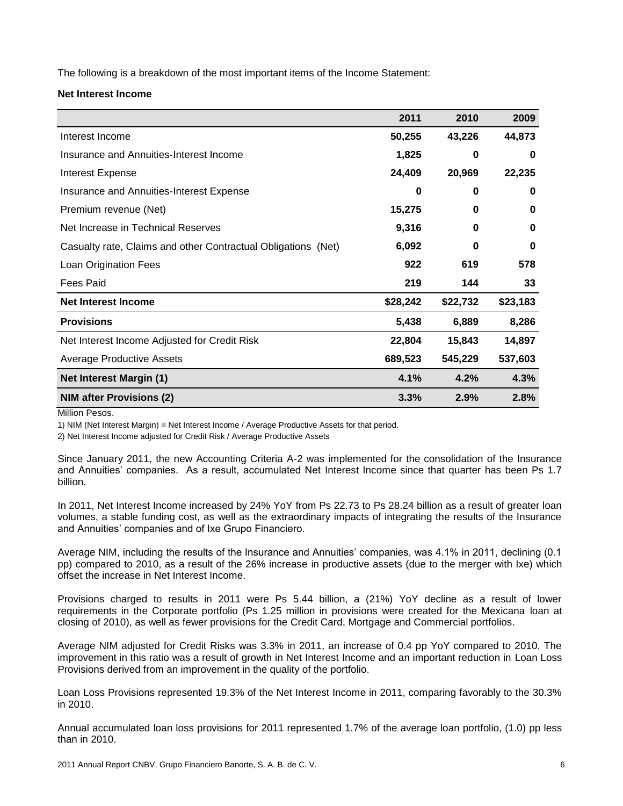The following is a breakdown of the most important items of the Income Statement:

#### **Net Interest Income**

|                                                               | 2011     | 2010     | 2009     |
|---------------------------------------------------------------|----------|----------|----------|
| Interest Income                                               | 50,255   | 43,226   | 44,873   |
| Insurance and Annuities-Interest Income                       | 1,825    | $\bf{0}$ | 0        |
| <b>Interest Expense</b>                                       | 24,409   | 20,969   | 22,235   |
| Insurance and Annuities-Interest Expense                      | 0        | 0        | 0        |
| Premium revenue (Net)                                         | 15,275   | 0        | 0        |
| Net Increase in Technical Reserves                            | 9,316    | 0        | 0        |
| Casualty rate, Claims and other Contractual Obligations (Net) | 6,092    | 0        | 0        |
| <b>Loan Origination Fees</b>                                  | 922      | 619      | 578      |
| <b>Fees Paid</b>                                              | 219      | 144      | 33       |
| <b>Net Interest Income</b>                                    | \$28,242 | \$22,732 | \$23,183 |
| <b>Provisions</b>                                             | 5,438    | 6,889    | 8,286    |
| Net Interest Income Adjusted for Credit Risk                  | 22,804   | 15,843   | 14,897   |
| <b>Average Productive Assets</b>                              | 689,523  | 545,229  | 537,603  |
| <b>Net Interest Margin (1)</b>                                | 4.1%     | 4.2%     | 4.3%     |
| <b>NIM after Provisions (2)</b>                               | 3.3%     | 2.9%     | 2.8%     |

Million Pesos.

1) NIM (Net Interest Margin) = Net Interest Income / Average Productive Assets for that period.

2) Net Interest Income adjusted for Credit Risk / Average Productive Assets

Since January 2011, the new Accounting Criteria A-2 was implemented for the consolidation of the Insurance and Annuities' companies. As a result, accumulated Net Interest Income since that quarter has been Ps 1.7 billion.

In 2011, Net Interest Income increased by 24% YoY from Ps 22.73 to Ps 28.24 billion as a result of greater loan volumes, a stable funding cost, as well as the extraordinary impacts of integrating the results of the Insurance and Annuities' companies and of Ixe Grupo Financiero.

Average NIM, including the results of the Insurance and Annuities' companies, was 4.1% in 2011, declining (0.1 pp) compared to 2010, as a result of the 26% increase in productive assets (due to the merger with Ixe) which offset the increase in Net Interest Income.

Provisions charged to results in 2011 were Ps 5.44 billion, a (21%) YoY decline as a result of lower requirements in the Corporate portfolio (Ps 1.25 million in provisions were created for the Mexicana loan at closing of 2010), as well as fewer provisions for the Credit Card, Mortgage and Commercial portfolios.

Average NIM adjusted for Credit Risks was 3.3% in 2011, an increase of 0.4 pp YoY compared to 2010. The improvement in this ratio was a result of growth in Net Interest Income and an important reduction in Loan Loss Provisions derived from an improvement in the quality of the portfolio.

Loan Loss Provisions represented 19.3% of the Net Interest Income in 2011, comparing favorably to the 30.3% in 2010.

Annual accumulated loan loss provisions for 2011 represented 1.7% of the average loan portfolio, (1.0) pp less than in 2010.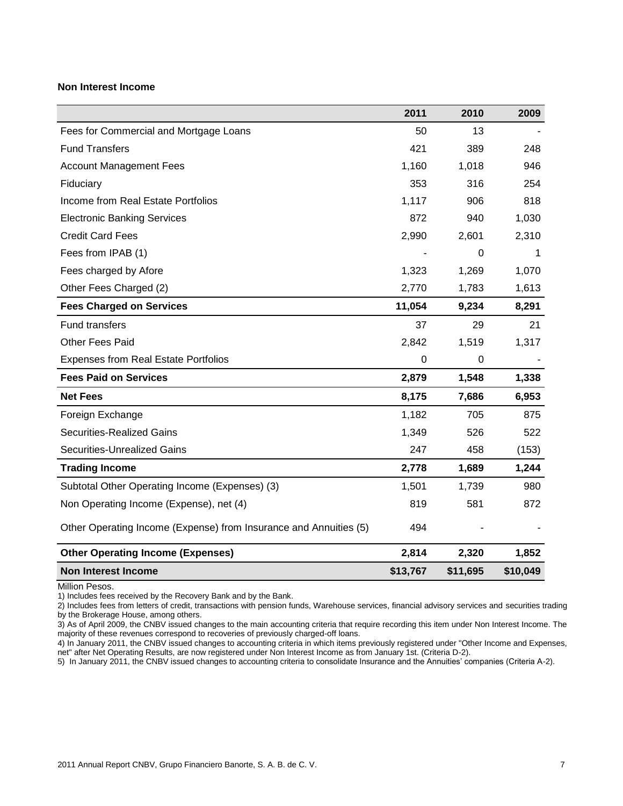#### **Non Interest Income**

|                                                                   | 2011     | 2010     | 2009     |
|-------------------------------------------------------------------|----------|----------|----------|
| Fees for Commercial and Mortgage Loans                            | 50       | 13       |          |
| <b>Fund Transfers</b>                                             | 421      | 389      | 248      |
| <b>Account Management Fees</b>                                    | 1,160    | 1,018    | 946      |
| Fiduciary                                                         | 353      | 316      | 254      |
| Income from Real Estate Portfolios                                | 1,117    | 906      | 818      |
| <b>Electronic Banking Services</b>                                | 872      | 940      | 1,030    |
| <b>Credit Card Fees</b>                                           | 2,990    | 2,601    | 2,310    |
| Fees from IPAB (1)                                                |          | 0        | 1        |
| Fees charged by Afore                                             | 1,323    | 1,269    | 1,070    |
| Other Fees Charged (2)                                            | 2,770    | 1,783    | 1,613    |
| <b>Fees Charged on Services</b>                                   | 11,054   | 9,234    | 8,291    |
| <b>Fund transfers</b>                                             | 37       | 29       | 21       |
| <b>Other Fees Paid</b>                                            | 2,842    | 1,519    | 1,317    |
| <b>Expenses from Real Estate Portfolios</b>                       | 0        | 0        |          |
| <b>Fees Paid on Services</b>                                      | 2,879    | 1,548    | 1,338    |
| <b>Net Fees</b>                                                   | 8,175    | 7,686    | 6,953    |
| Foreign Exchange                                                  | 1,182    | 705      | 875      |
| <b>Securities-Realized Gains</b>                                  | 1,349    | 526      | 522      |
| Securities-Unrealized Gains                                       | 247      | 458      | (153)    |
| <b>Trading Income</b>                                             | 2,778    | 1,689    | 1,244    |
| Subtotal Other Operating Income (Expenses) (3)                    | 1,501    | 1,739    | 980      |
| Non Operating Income (Expense), net (4)                           | 819      | 581      | 872      |
| Other Operating Income (Expense) from Insurance and Annuities (5) | 494      |          |          |
| <b>Other Operating Income (Expenses)</b>                          | 2,814    | 2,320    | 1,852    |
| <b>Non Interest Income</b>                                        | \$13,767 | \$11,695 | \$10,049 |

#### Million Pesos.

1) Includes fees received by the Recovery Bank and by the Bank.

2) Includes fees from letters of credit, transactions with pension funds, Warehouse services, financial advisory services and securities trading by the Brokerage House, among others.

3) As of April 2009, the CNBV issued changes to the main accounting criteria that require recording this item under Non Interest Income. The majority of these revenues correspond to recoveries of previously charged-off loans.

4) In January 2011, the CNBV issued changes to accounting criteria in which items previously registered under "Other Income and Expenses, net" after Net Operating Results, are now registered under Non Interest Income as from January 1st. (Criteria D-2).

5) In January 2011, the CNBV issued changes to accounting criteria to consolidate Insurance and the Annuities' companies (Criteria A-2).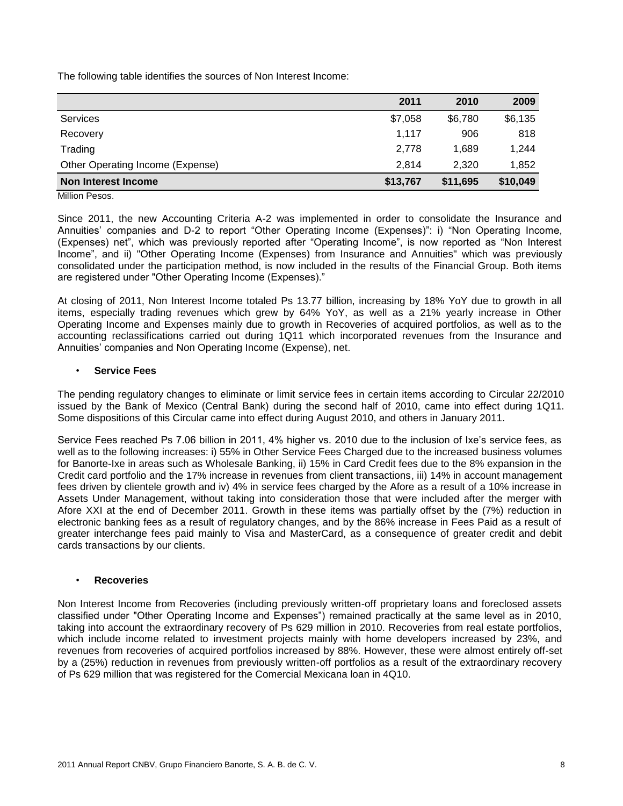The following table identifies the sources of Non Interest Income:

|                                  | 2011     | 2010     | 2009     |
|----------------------------------|----------|----------|----------|
| Services                         | \$7,058  | \$6,780  | \$6,135  |
| Recovery                         | 1,117    | 906      | 818      |
| Trading                          | 2,778    | 1,689    | 1,244    |
| Other Operating Income (Expense) | 2,814    | 2.320    | 1.852    |
| <b>Non Interest Income</b>       | \$13,767 | \$11,695 | \$10,049 |

Million Pesos.

Since 2011, the new Accounting Criteria A-2 was implemented in order to consolidate the Insurance and Annuities' companies and D-2 to report "Other Operating Income (Expenses)": i) "Non Operating Income, (Expenses) net", which was previously reported after "Operating Income", is now reported as "Non Interest Income", and ii) "Other Operating Income (Expenses) from Insurance and Annuities" which was previously consolidated under the participation method, is now included in the results of the Financial Group. Both items are registered under "Other Operating Income (Expenses)."

At closing of 2011, Non Interest Income totaled Ps 13.77 billion, increasing by 18% YoY due to growth in all items, especially trading revenues which grew by 64% YoY, as well as a 21% yearly increase in Other Operating Income and Expenses mainly due to growth in Recoveries of acquired portfolios, as well as to the accounting reclassifications carried out during 1Q11 which incorporated revenues from the Insurance and Annuities' companies and Non Operating Income (Expense), net.

#### • **Service Fees**

The pending regulatory changes to eliminate or limit service fees in certain items according to Circular 22/2010 issued by the Bank of Mexico (Central Bank) during the second half of 2010, came into effect during 1Q11. Some dispositions of this Circular came into effect during August 2010, and others in January 2011.

Service Fees reached Ps 7.06 billion in 2011, 4% higher vs. 2010 due to the inclusion of Ixe's service fees, as well as to the following increases: i) 55% in Other Service Fees Charged due to the increased business volumes for Banorte-Ixe in areas such as Wholesale Banking, ii) 15% in Card Credit fees due to the 8% expansion in the Credit card portfolio and the 17% increase in revenues from client transactions, iii) 14% in account management fees driven by clientele growth and iv) 4% in service fees charged by the Afore as a result of a 10% increase in Assets Under Management, without taking into consideration those that were included after the merger with Afore XXI at the end of December 2011. Growth in these items was partially offset by the (7%) reduction in electronic banking fees as a result of regulatory changes, and by the 86% increase in Fees Paid as a result of greater interchange fees paid mainly to Visa and MasterCard, as a consequence of greater credit and debit cards transactions by our clients.

#### • **Recoveries**

Non Interest Income from Recoveries (including previously written-off proprietary loans and foreclosed assets classified under "Other Operating Income and Expenses") remained practically at the same level as in 2010, taking into account the extraordinary recovery of Ps 629 million in 2010. Recoveries from real estate portfolios, which include income related to investment projects mainly with home developers increased by 23%, and revenues from recoveries of acquired portfolios increased by 88%. However, these were almost entirely off-set by a (25%) reduction in revenues from previously written-off portfolios as a result of the extraordinary recovery of Ps 629 million that was registered for the Comercial Mexicana loan in 4Q10.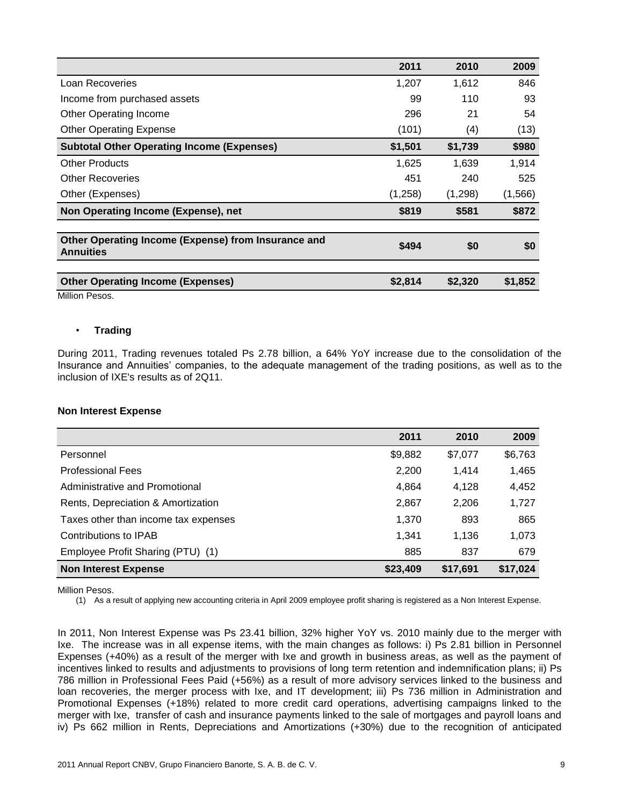|                                                                         | 2011    | 2010    | 2009     |
|-------------------------------------------------------------------------|---------|---------|----------|
| Loan Recoveries                                                         | 1,207   | 1,612   | 846      |
| Income from purchased assets                                            | 99      | 110     | 93       |
| <b>Other Operating Income</b>                                           | 296     | 21      | 54       |
| <b>Other Operating Expense</b>                                          | (101)   | (4)     | (13)     |
| <b>Subtotal Other Operating Income (Expenses)</b>                       | \$1,501 | \$1,739 | \$980    |
| <b>Other Products</b>                                                   | 1,625   | 1,639   | 1,914    |
| Other Recoveries                                                        | 451     | 240     | 525      |
| Other (Expenses)                                                        | (1,258) | (1,298) | (1, 566) |
| Non Operating Income (Expense), net                                     | \$819   | \$581   | \$872    |
|                                                                         |         |         |          |
| Other Operating Income (Expense) from Insurance and<br><b>Annuities</b> | \$494   | \$0     | \$0      |
|                                                                         |         |         |          |
| <b>Other Operating Income (Expenses)</b>                                | \$2,814 | \$2,320 | \$1,852  |

Million Pesos.

#### • **Trading**

During 2011, Trading revenues totaled Ps 2.78 billion, a 64% YoY increase due to the consolidation of the Insurance and Annuities' companies, to the adequate management of the trading positions, as well as to the inclusion of IXE's results as of 2Q11.

#### **Non Interest Expense**

|                                      | 2011     | 2010     | 2009     |
|--------------------------------------|----------|----------|----------|
| Personnel                            | \$9,882  | \$7,077  | \$6,763  |
| <b>Professional Fees</b>             | 2,200    | 1,414    | 1,465    |
| Administrative and Promotional       | 4,864    | 4,128    | 4,452    |
| Rents, Depreciation & Amortization   | 2,867    | 2,206    | 1,727    |
| Taxes other than income tax expenses | 1,370    | 893      | 865      |
| Contributions to IPAB                | 1,341    | 1,136    | 1,073    |
| Employee Profit Sharing (PTU) (1)    | 885      | 837      | 679      |
| <b>Non Interest Expense</b>          | \$23,409 | \$17,691 | \$17,024 |

Million Pesos.

(1) As a result of applying new accounting criteria in April 2009 employee profit sharing is registered as a Non Interest Expense.

In 2011, Non Interest Expense was Ps 23.41 billion, 32% higher YoY vs. 2010 mainly due to the merger with Ixe. The increase was in all expense items, with the main changes as follows: i) Ps 2.81 billion in Personnel Expenses (+40%) as a result of the merger with Ixe and growth in business areas, as well as the payment of incentives linked to results and adjustments to provisions of long term retention and indemnification plans; ii) Ps 786 million in Professional Fees Paid (+56%) as a result of more advisory services linked to the business and loan recoveries, the merger process with Ixe, and IT development; iii) Ps 736 million in Administration and Promotional Expenses (+18%) related to more credit card operations, advertising campaigns linked to the merger with Ixe, transfer of cash and insurance payments linked to the sale of mortgages and payroll loans and iv) Ps 662 million in Rents, Depreciations and Amortizations (+30%) due to the recognition of anticipated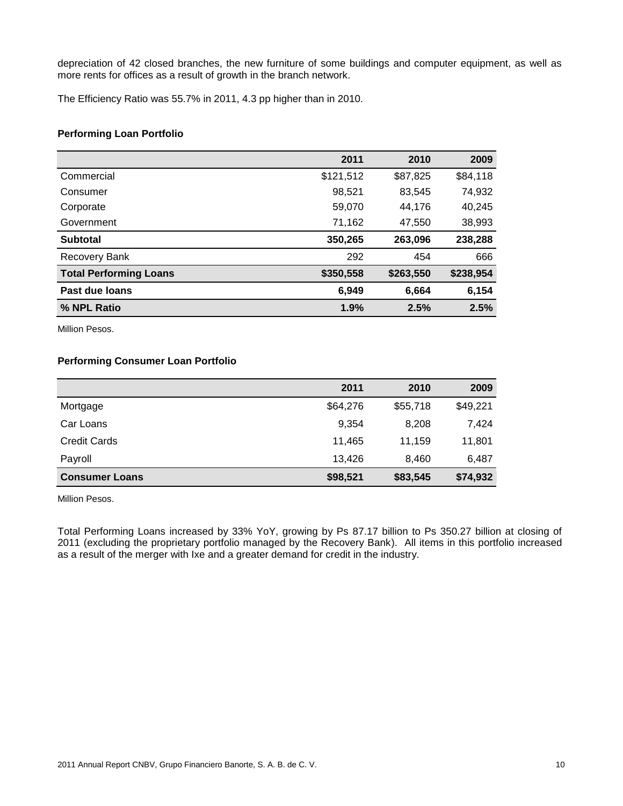depreciation of 42 closed branches, the new furniture of some buildings and computer equipment, as well as more rents for offices as a result of growth in the branch network.

The Efficiency Ratio was 55.7% in 2011, 4.3 pp higher than in 2010.

#### **Performing Loan Portfolio**

|                               | 2011      | 2010      | 2009      |
|-------------------------------|-----------|-----------|-----------|
| Commercial                    | \$121,512 | \$87,825  | \$84,118  |
| Consumer                      | 98,521    | 83,545    | 74,932    |
| Corporate                     | 59,070    | 44.176    | 40,245    |
| Government                    | 71,162    | 47,550    | 38,993    |
| <b>Subtotal</b>               | 350,265   | 263,096   | 238,288   |
| <b>Recovery Bank</b>          | 292       | 454       | 666       |
| <b>Total Performing Loans</b> | \$350,558 | \$263,550 | \$238,954 |
| Past due loans                | 6,949     | 6,664     | 6,154     |
| % NPL Ratio                   | 1.9%      | 2.5%      | 2.5%      |

Million Pesos.

#### **Performing Consumer Loan Portfolio**

|                       | 2011     | 2010     | 2009     |
|-----------------------|----------|----------|----------|
| Mortgage              | \$64,276 | \$55,718 | \$49,221 |
| Car Loans             | 9,354    | 8,208    | 7,424    |
| <b>Credit Cards</b>   | 11,465   | 11.159   | 11,801   |
| Payroll               | 13.426   | 8.460    | 6,487    |
| <b>Consumer Loans</b> | \$98,521 | \$83,545 | \$74,932 |

Million Pesos.

Total Performing Loans increased by 33% YoY, growing by Ps 87.17 billion to Ps 350.27 billion at closing of 2011 (excluding the proprietary portfolio managed by the Recovery Bank). All items in this portfolio increased as a result of the merger with Ixe and a greater demand for credit in the industry.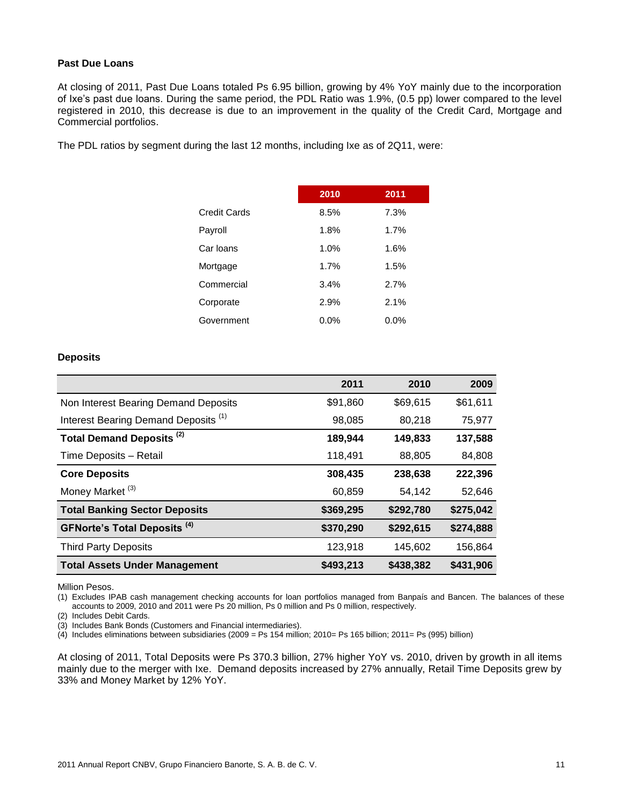#### **Past Due Loans**

At closing of 2011, Past Due Loans totaled Ps 6.95 billion, growing by 4% YoY mainly due to the incorporation of Ixe's past due loans. During the same period, the PDL Ratio was 1.9%, (0.5 pp) lower compared to the level registered in 2010, this decrease is due to an improvement in the quality of the Credit Card, Mortgage and Commercial portfolios.

The PDL ratios by segment during the last 12 months, including Ixe as of 2Q11, were:

| 2010 | 2011 |
|------|------|
| 8.5% | 7.3% |
| 1.8% | 1.7% |
| 1.0% | 1.6% |
| 1.7% | 1.5% |
| 3.4% | 2.7% |
| 2.9% | 2.1% |
| 0.0% | 0.0% |
|      |      |

#### **Deposits**

|                                                 | 2011      | 2010      | 2009      |
|-------------------------------------------------|-----------|-----------|-----------|
| Non Interest Bearing Demand Deposits            | \$91,860  | \$69,615  | \$61,611  |
| Interest Bearing Demand Deposits <sup>(1)</sup> | 98,085    | 80,218    | 75,977    |
| Total Demand Deposits <sup>(2)</sup>            | 189,944   | 149,833   | 137,588   |
| Time Deposits - Retail                          | 118,491   | 88,805    | 84,808    |
| <b>Core Deposits</b>                            | 308,435   | 238,638   | 222,396   |
| Money Market <sup>(3)</sup>                     | 60,859    | 54,142    | 52,646    |
| <b>Total Banking Sector Deposits</b>            | \$369,295 | \$292,780 | \$275,042 |
| <b>GFNorte's Total Deposits (4)</b>             | \$370,290 | \$292,615 | \$274,888 |
| <b>Third Party Deposits</b>                     | 123,918   | 145,602   | 156,864   |
| <b>Total Assets Under Management</b>            | \$493,213 | \$438,382 | \$431,906 |

Million Pesos.

(1) Excludes IPAB cash management checking accounts for loan portfolios managed from Banpaís and Bancen. The balances of these accounts to 2009, 2010 and 2011 were Ps 20 million, Ps 0 million and Ps 0 million, respectively.

(2) Includes Debit Cards.

(3) Includes Bank Bonds (Customers and Financial intermediaries).

 $(4)$  Includes eliminations between subsidiaries (2009 = Ps 154 million; 2010= Ps 165 billion; 2011= Ps (995) billion)

At closing of 2011, Total Deposits were Ps 370.3 billion, 27% higher YoY vs. 2010, driven by growth in all items mainly due to the merger with Ixe. Demand deposits increased by 27% annually, Retail Time Deposits grew by 33% and Money Market by 12% YoY.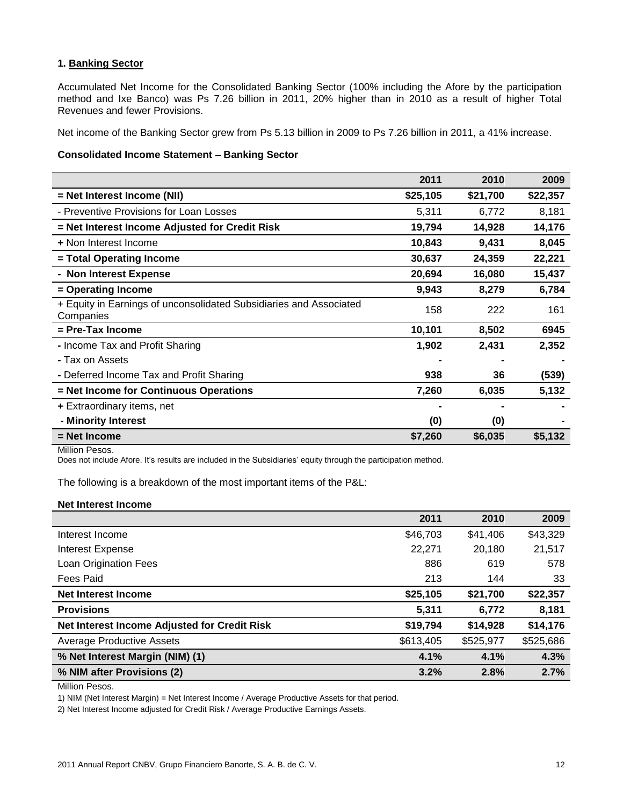#### **1. Banking Sector**

Accumulated Net Income for the Consolidated Banking Sector (100% including the Afore by the participation method and Ixe Banco) was Ps 7.26 billion in 2011, 20% higher than in 2010 as a result of higher Total Revenues and fewer Provisions.

Net income of the Banking Sector grew from Ps 5.13 billion in 2009 to Ps 7.26 billion in 2011, a 41% increase.

#### **Consolidated Income Statement – Banking Sector**

|                                                                                 | 2011     | 2010     | 2009     |
|---------------------------------------------------------------------------------|----------|----------|----------|
| = Net Interest Income (NII)                                                     | \$25,105 | \$21,700 | \$22,357 |
| - Preventive Provisions for Loan Losses                                         | 5,311    | 6,772    | 8,181    |
| = Net Interest Income Adjusted for Credit Risk                                  | 19,794   | 14,928   | 14,176   |
| + Non Interest Income                                                           | 10,843   | 9,431    | 8,045    |
| = Total Operating Income                                                        | 30,637   | 24,359   | 22,221   |
| - Non Interest Expense                                                          | 20,694   | 16,080   | 15,437   |
| = Operating Income                                                              | 9,943    | 8,279    | 6,784    |
| + Equity in Earnings of unconsolidated Subsidiaries and Associated<br>Companies | 158      | 222      | 161      |
| = Pre-Tax Income                                                                | 10,101   | 8,502    | 6945     |
| - Income Tax and Profit Sharing                                                 | 1,902    | 2,431    | 2,352    |
| - Tax on Assets                                                                 |          |          |          |
| - Deferred Income Tax and Profit Sharing                                        | 938      | 36       | (539)    |
| = Net Income for Continuous Operations                                          | 7,260    | 6,035    | 5,132    |
| + Extraordinary items, net                                                      |          |          |          |
| - Minority Interest                                                             | (0)      | (0)      |          |
| = Net Income                                                                    | \$7,260  | \$6,035  | \$5,132  |

Million Pesos.

Does not include Afore. It's results are included in the Subsidiaries' equity through the participation method.

The following is a breakdown of the most important items of the P&L:

#### **Net Interest Income**

|                                              | 2011      | 2010      | 2009      |
|----------------------------------------------|-----------|-----------|-----------|
| Interest Income                              | \$46,703  | \$41,406  | \$43,329  |
| Interest Expense                             | 22,271    | 20,180    | 21,517    |
| Loan Origination Fees                        | 886       | 619       | 578       |
| Fees Paid                                    | 213       | 144       | 33        |
| <b>Net Interest Income</b>                   | \$25,105  | \$21,700  | \$22,357  |
| <b>Provisions</b>                            | 5,311     | 6,772     | 8,181     |
| Net Interest Income Adjusted for Credit Risk | \$19,794  | \$14,928  | \$14,176  |
| <b>Average Productive Assets</b>             | \$613,405 | \$525,977 | \$525,686 |
| % Net Interest Margin (NIM) (1)              | 4.1%      | 4.1%      | 4.3%      |
| % NIM after Provisions (2)                   | 3.2%      | 2.8%      | 2.7%      |

Million Pesos.

1) NIM (Net Interest Margin) = Net Interest Income / Average Productive Assets for that period.

2) Net Interest Income adjusted for Credit Risk / Average Productive Earnings Assets.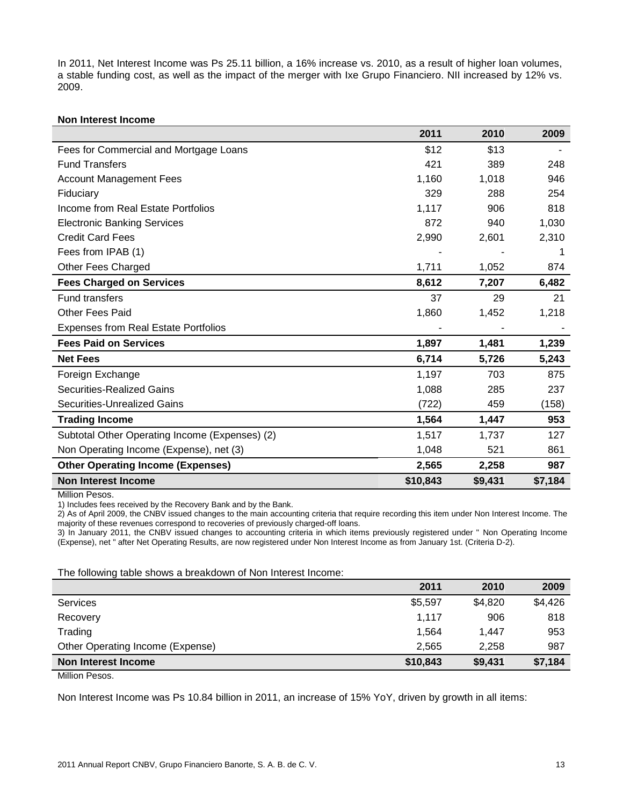In 2011, Net Interest Income was Ps 25.11 billion, a 16% increase vs. 2010, as a result of higher loan volumes, a stable funding cost, as well as the impact of the merger with Ixe Grupo Financiero. NII increased by 12% vs. 2009.

#### **Non Interest Income**

|                                                | 2011     | 2010    | 2009    |
|------------------------------------------------|----------|---------|---------|
| Fees for Commercial and Mortgage Loans         | \$12     | \$13    |         |
| <b>Fund Transfers</b>                          | 421      | 389     | 248     |
| <b>Account Management Fees</b>                 | 1,160    | 1,018   | 946     |
| Fiduciary                                      | 329      | 288     | 254     |
| Income from Real Estate Portfolios             | 1,117    | 906     | 818     |
| <b>Electronic Banking Services</b>             | 872      | 940     | 1,030   |
| <b>Credit Card Fees</b>                        | 2,990    | 2,601   | 2,310   |
| Fees from IPAB (1)                             |          |         |         |
| Other Fees Charged                             | 1,711    | 1,052   | 874     |
| <b>Fees Charged on Services</b>                | 8,612    | 7,207   | 6,482   |
| <b>Fund transfers</b>                          | 37       | 29      | 21      |
| <b>Other Fees Paid</b>                         | 1,860    | 1,452   | 1,218   |
| <b>Expenses from Real Estate Portfolios</b>    |          |         |         |
| <b>Fees Paid on Services</b>                   | 1,897    | 1,481   | 1,239   |
| <b>Net Fees</b>                                | 6,714    | 5,726   | 5,243   |
| Foreign Exchange                               | 1,197    | 703     | 875     |
| Securities-Realized Gains                      | 1,088    | 285     | 237     |
| Securities-Unrealized Gains                    | (722)    | 459     | (158)   |
| <b>Trading Income</b>                          | 1,564    | 1,447   | 953     |
| Subtotal Other Operating Income (Expenses) (2) | 1,517    | 1,737   | 127     |
| Non Operating Income (Expense), net (3)        | 1,048    | 521     | 861     |
| <b>Other Operating Income (Expenses)</b>       | 2,565    | 2,258   | 987     |
| <b>Non Interest Income</b>                     | \$10,843 | \$9,431 | \$7,184 |

Million Pesos.

1) Includes fees received by the Recovery Bank and by the Bank.

2) As of April 2009, the CNBV issued changes to the main accounting criteria that require recording this item under Non Interest Income. The majority of these revenues correspond to recoveries of previously charged-off loans.

3) In January 2011, the CNBV issued changes to accounting criteria in which items previously registered under " Non Operating Income (Expense), net " after Net Operating Results, are now registered under Non Interest Income as from January 1st. (Criteria D-2).

The following table shows a breakdown of Non Interest Income:

| 2011     | 2010    | 2009    |
|----------|---------|---------|
| \$5,597  | \$4,820 | \$4,426 |
| 1.117    | 906     | 818     |
| 1.564    | 1.447   | 953     |
| 2.565    | 2.258   | 987     |
| \$10,843 | \$9,431 | \$7,184 |
|          |         |         |

Million Pesos.

Non Interest Income was Ps 10.84 billion in 2011, an increase of 15% YoY, driven by growth in all items: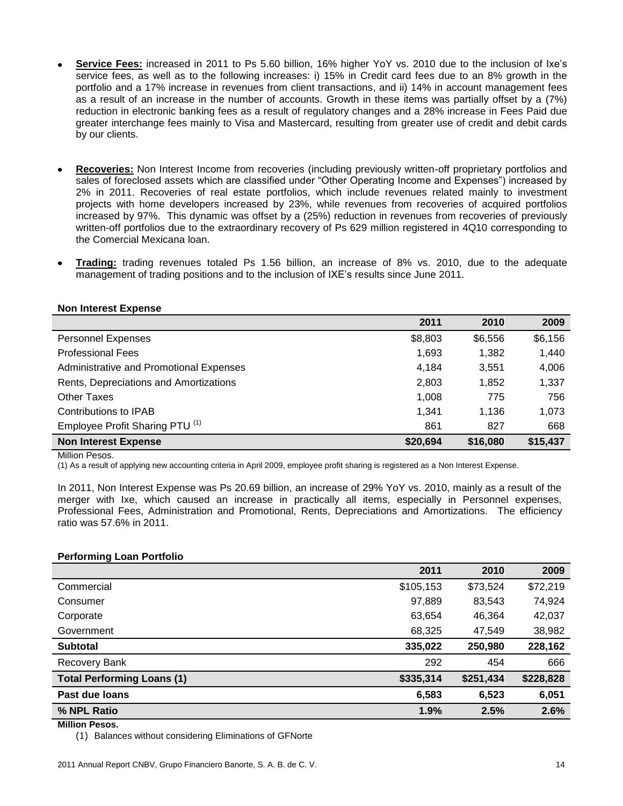- **Service Fees:** increased in 2011 to Ps 5.60 billion, 16% higher YoY vs. 2010 due to the inclusion of Ixe's service fees, as well as to the following increases: i) 15% in Credit card fees due to an 8% growth in the portfolio and a 17% increase in revenues from client transactions, and ii) 14% in account management fees as a result of an increase in the number of accounts. Growth in these items was partially offset by a (7%) reduction in electronic banking fees as a result of regulatory changes and a 28% increase in Fees Paid due greater interchange fees mainly to Visa and Mastercard, resulting from greater use of credit and debit cards by our clients.
- **Recoveries:** Non Interest Income from recoveries (including previously written-off proprietary portfolios and sales of foreclosed assets which are classified under "Other Operating Income and Expenses") increased by 2% in 2011. Recoveries of real estate portfolios, which include revenues related mainly to investment projects with home developers increased by 23%, while revenues from recoveries of acquired portfolios increased by 97%. This dynamic was offset by a (25%) reduction in revenues from recoveries of previously written-off portfolios due to the extraordinary recovery of Ps 629 million registered in 4Q10 corresponding to the Comercial Mexicana loan.
- **Trading:** trading revenues totaled Ps 1.56 billion, an increase of 8% vs. 2010, due to the adequate management of trading positions and to the inclusion of IXE's results since June 2011.

|                                            | 2011     | 2010     | 2009     |
|--------------------------------------------|----------|----------|----------|
| <b>Personnel Expenses</b>                  | \$8,803  | \$6,556  | \$6,156  |
| <b>Professional Fees</b>                   | 1,693    | 1,382    | 1,440    |
| Administrative and Promotional Expenses    | 4,184    | 3,551    | 4,006    |
| Rents, Depreciations and Amortizations     | 2,803    | 1,852    | 1,337    |
| Other Taxes                                | 1,008    | 775      | 756      |
| Contributions to IPAB                      | 1.341    | 1.136    | 1,073    |
| Employee Profit Sharing PTU <sup>(1)</sup> | 861      | 827      | 668      |
| <b>Non Interest Expense</b>                | \$20,694 | \$16,080 | \$15,437 |

Million Pesos.

(1) As a result of applying new accounting criteria in April 2009, employee profit sharing is registered as a Non Interest Expense.

In 2011, Non Interest Expense was Ps 20.69 billion, an increase of 29% YoY vs. 2010, mainly as a result of the merger with Ixe, which caused an increase in practically all items, especially in Personnel expenses, Professional Fees, Administration and Promotional, Rents, Depreciations and Amortizations. The efficiency ratio was 57.6% in 2011.

#### **Performing Loan Portfolio**

|                                   | 2011      | 2010      | 2009      |
|-----------------------------------|-----------|-----------|-----------|
| Commercial                        | \$105,153 | \$73,524  | \$72,219  |
| Consumer                          | 97,889    | 83,543    | 74,924    |
| Corporate                         | 63,654    | 46,364    | 42,037    |
| Government                        | 68,325    | 47,549    | 38,982    |
| <b>Subtotal</b>                   | 335,022   | 250,980   | 228,162   |
| Recovery Bank                     | 292       | 454       | 666       |
| <b>Total Performing Loans (1)</b> | \$335,314 | \$251,434 | \$228,828 |
| Past due loans                    | 6,583     | 6,523     | 6,051     |
| % NPL Ratio                       | 1.9%      | 2.5%      | 2.6%      |
|                                   |           |           |           |

**Million Pesos.**

(1) Balances without considering Eliminations of GFNorte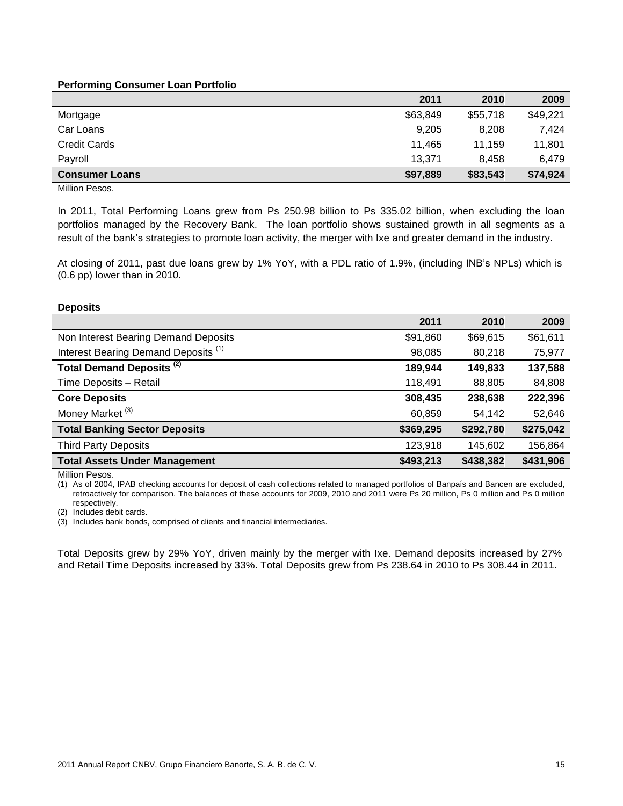#### **Performing Consumer Loan Portfolio**

|                       | 2011     | 2010     | 2009     |
|-----------------------|----------|----------|----------|
| Mortgage              | \$63,849 | \$55,718 | \$49,221 |
| Car Loans             | 9,205    | 8,208    | 7.424    |
| <b>Credit Cards</b>   | 11.465   | 11.159   | 11.801   |
| Payroll               | 13.371   | 8.458    | 6.479    |
| <b>Consumer Loans</b> | \$97,889 | \$83,543 | \$74,924 |

Million Pesos.

In 2011, Total Performing Loans grew from Ps 250.98 billion to Ps 335.02 billion, when excluding the loan portfolios managed by the Recovery Bank. The loan portfolio shows sustained growth in all segments as a result of the bank's strategies to promote loan activity, the merger with Ixe and greater demand in the industry.

At closing of 2011, past due loans grew by 1% YoY, with a PDL ratio of 1.9%, (including INB's NPLs) which is (0.6 pp) lower than in 2010.

#### **Deposits**

|                                                 | 2011      | 2010      | 2009      |
|-------------------------------------------------|-----------|-----------|-----------|
| Non Interest Bearing Demand Deposits            | \$91,860  | \$69,615  | \$61,611  |
| Interest Bearing Demand Deposits <sup>(1)</sup> | 98,085    | 80,218    | 75,977    |
| Total Demand Deposits <sup>(2)</sup>            | 189,944   | 149,833   | 137,588   |
| Time Deposits - Retail                          | 118,491   | 88,805    | 84,808    |
| <b>Core Deposits</b>                            | 308,435   | 238,638   | 222,396   |
| Money Market <sup>(3)</sup>                     | 60,859    | 54,142    | 52,646    |
| <b>Total Banking Sector Deposits</b>            | \$369,295 | \$292,780 | \$275,042 |
| <b>Third Party Deposits</b>                     | 123,918   | 145,602   | 156,864   |
| <b>Total Assets Under Management</b>            | \$493,213 | \$438,382 | \$431,906 |

Million Pesos.

(1) As of 2004, IPAB checking accounts for deposit of cash collections related to managed portfolios of Banpaís and Bancen are excluded, retroactively for comparison. The balances of these accounts for 2009, 2010 and 2011 were Ps 20 million, Ps 0 million and Ps 0 million respectively.

(2) Includes debit cards.

(3) Includes bank bonds, comprised of clients and financial intermediaries.

Total Deposits grew by 29% YoY, driven mainly by the merger with Ixe. Demand deposits increased by 27% and Retail Time Deposits increased by 33%. Total Deposits grew from Ps 238.64 in 2010 to Ps 308.44 in 2011.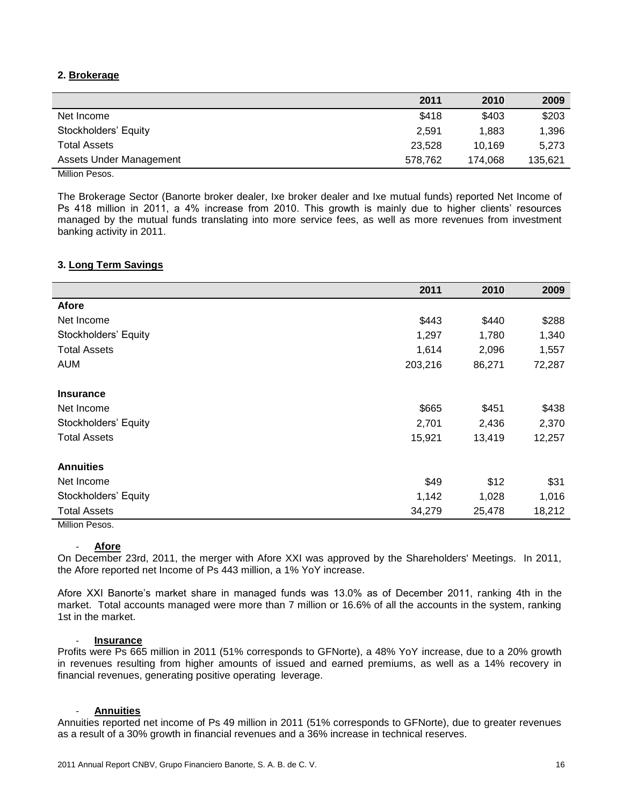#### **2. Brokerage**

|                         | 2011    | 2010    | 2009    |
|-------------------------|---------|---------|---------|
| Net Income              | \$418   | \$403   | \$203   |
| Stockholders' Equity    | 2,591   | 1.883   | 1,396   |
| <b>Total Assets</b>     | 23,528  | 10.169  | 5.273   |
| Assets Under Management | 578.762 | 174.068 | 135,621 |
|                         |         |         |         |

Million Pesos.

The Brokerage Sector (Banorte broker dealer, Ixe broker dealer and Ixe mutual funds) reported Net Income of Ps 418 million in 2011, a 4% increase from 2010. This growth is mainly due to higher clients' resources managed by the mutual funds translating into more service fees, as well as more revenues from investment banking activity in 2011.

#### **3. Long Term Savings**

|                      | 2011    | 2010   | 2009   |
|----------------------|---------|--------|--------|
| Afore                |         |        |        |
| Net Income           | \$443   | \$440  | \$288  |
| Stockholders' Equity | 1,297   | 1,780  | 1,340  |
| <b>Total Assets</b>  | 1,614   | 2,096  | 1,557  |
| <b>AUM</b>           | 203,216 | 86,271 | 72,287 |
| <b>Insurance</b>     |         |        |        |
| Net Income           | \$665   | \$451  | \$438  |
| Stockholders' Equity | 2,701   | 2,436  | 2,370  |
| <b>Total Assets</b>  | 15,921  | 13,419 | 12,257 |
| <b>Annuities</b>     |         |        |        |
| Net Income           | \$49    | \$12   | \$31   |
| Stockholders' Equity | 1,142   | 1,028  | 1,016  |
| <b>Total Assets</b>  | 34,279  | 25,478 | 18,212 |

Million Pesos.

#### - **Afore**

On December 23rd, 2011, the merger with Afore XXI was approved by the Shareholders' Meetings. In 2011, the Afore reported net Income of Ps 443 million, a 1% YoY increase.

Afore XXI Banorte's market share in managed funds was 13.0% as of December 2011, ranking 4th in the market. Total accounts managed were more than 7 million or 16.6% of all the accounts in the system, ranking 1st in the market.

#### - **Insurance**

Profits were Ps 665 million in 2011 (51% corresponds to GFNorte), a 48% YoY increase, due to a 20% growth in revenues resulting from higher amounts of issued and earned premiums, as well as a 14% recovery in financial revenues, generating positive operating leverage.

#### - **Annuities**

Annuities reported net income of Ps 49 million in 2011 (51% corresponds to GFNorte), due to greater revenues as a result of a 30% growth in financial revenues and a 36% increase in technical reserves.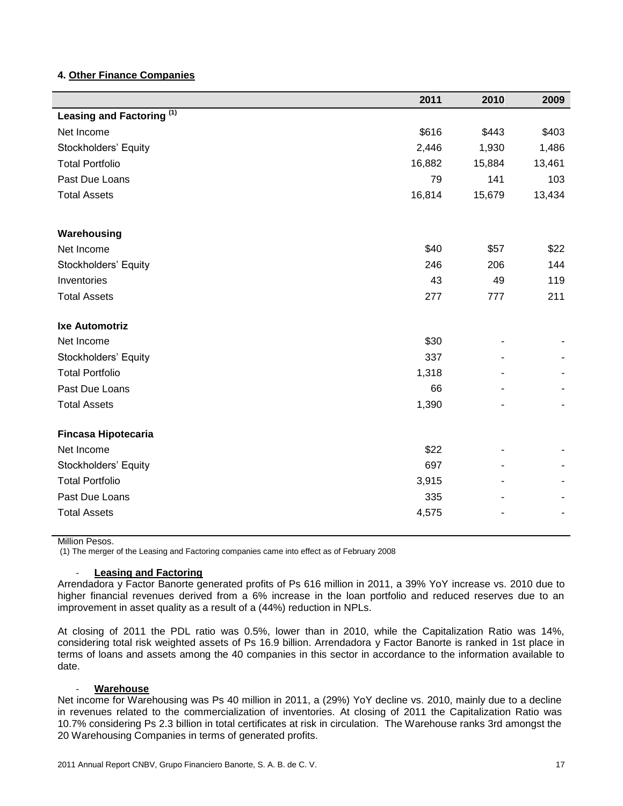#### **4. Other Finance Companies**

|                                      | 2011   | 2010   | 2009   |
|--------------------------------------|--------|--------|--------|
| Leasing and Factoring <sup>(1)</sup> |        |        |        |
| Net Income                           | \$616  | \$443  | \$403  |
| Stockholders' Equity                 | 2,446  | 1,930  | 1,486  |
| <b>Total Portfolio</b>               | 16,882 | 15,884 | 13,461 |
| Past Due Loans                       | 79     | 141    | 103    |
| <b>Total Assets</b>                  | 16,814 | 15,679 | 13,434 |
| Warehousing                          |        |        |        |
| Net Income                           | \$40   | \$57   | \$22   |
| Stockholders' Equity                 | 246    | 206    | 144    |
| Inventories                          | 43     | 49     | 119    |
| <b>Total Assets</b>                  | 277    | 777    | 211    |
| <b>Ixe Automotriz</b>                |        |        |        |
| Net Income                           | \$30   |        |        |
| Stockholders' Equity                 | 337    |        |        |
| <b>Total Portfolio</b>               | 1,318  |        |        |
| Past Due Loans                       | 66     |        |        |
| <b>Total Assets</b>                  | 1,390  |        |        |
| <b>Fincasa Hipotecaria</b>           |        |        |        |
| Net Income                           | \$22   |        |        |
| Stockholders' Equity                 | 697    |        |        |
| <b>Total Portfolio</b>               | 3,915  |        |        |
| Past Due Loans                       | 335    |        |        |
| <b>Total Assets</b>                  | 4,575  |        |        |

Million Pesos.

(1) The merger of the Leasing and Factoring companies came into effect as of February 2008

#### **Leasing and Factoring**

Arrendadora y Factor Banorte generated profits of Ps 616 million in 2011, a 39% YoY increase vs. 2010 due to higher financial revenues derived from a 6% increase in the loan portfolio and reduced reserves due to an improvement in asset quality as a result of a (44%) reduction in NPLs.

At closing of 2011 the PDL ratio was 0.5%, lower than in 2010, while the Capitalization Ratio was 14%, considering total risk weighted assets of Ps 16.9 billion. Arrendadora y Factor Banorte is ranked in 1st place in terms of loans and assets among the 40 companies in this sector in accordance to the information available to date.

#### - **Warehouse**

Net income for Warehousing was Ps 40 million in 2011, a (29%) YoY decline vs. 2010, mainly due to a decline in revenues related to the commercialization of inventories. At closing of 2011 the Capitalization Ratio was 10.7% considering Ps 2.3 billion in total certificates at risk in circulation. The Warehouse ranks 3rd amongst the 20 Warehousing Companies in terms of generated profits.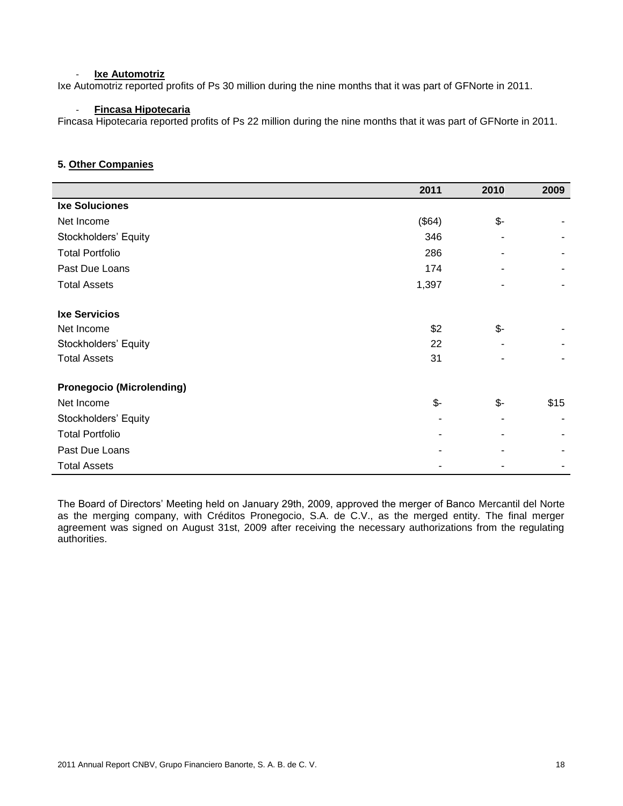#### **Ixe Automotriz**

Ixe Automotriz reported profits of Ps 30 million during the nine months that it was part of GFNorte in 2011.

#### - **Fincasa Hipotecaria**

Fincasa Hipotecaria reported profits of Ps 22 million during the nine months that it was part of GFNorte in 2011.

#### **5. Other Companies**

|                                  | 2011            | 2010            | 2009 |
|----------------------------------|-----------------|-----------------|------|
| <b>Ixe Soluciones</b>            |                 |                 |      |
| Net Income                       | (\$64)          | \$-             |      |
| Stockholders' Equity             | 346             |                 |      |
| <b>Total Portfolio</b>           | 286             |                 |      |
| Past Due Loans                   | 174             |                 |      |
| <b>Total Assets</b>              | 1,397           | -               |      |
| <b>Ixe Servicios</b>             |                 |                 |      |
| Net Income                       | \$2             | $\frac{2}{2}$   |      |
| Stockholders' Equity             | 22              |                 |      |
| <b>Total Assets</b>              | 31              |                 |      |
| <b>Pronegocio (Microlending)</b> |                 |                 |      |
| Net Income                       | $\mathcal{S}$ - | $\mathcal{S}$ - | \$15 |
| Stockholders' Equity             |                 |                 |      |
| <b>Total Portfolio</b>           |                 |                 |      |
| Past Due Loans                   |                 |                 |      |
| <b>Total Assets</b>              |                 |                 |      |

The Board of Directors' Meeting held on January 29th, 2009, approved the merger of Banco Mercantil del Norte as the merging company, with Créditos Pronegocio, S.A. de C.V., as the merged entity. The final merger agreement was signed on August 31st, 2009 after receiving the necessary authorizations from the regulating authorities.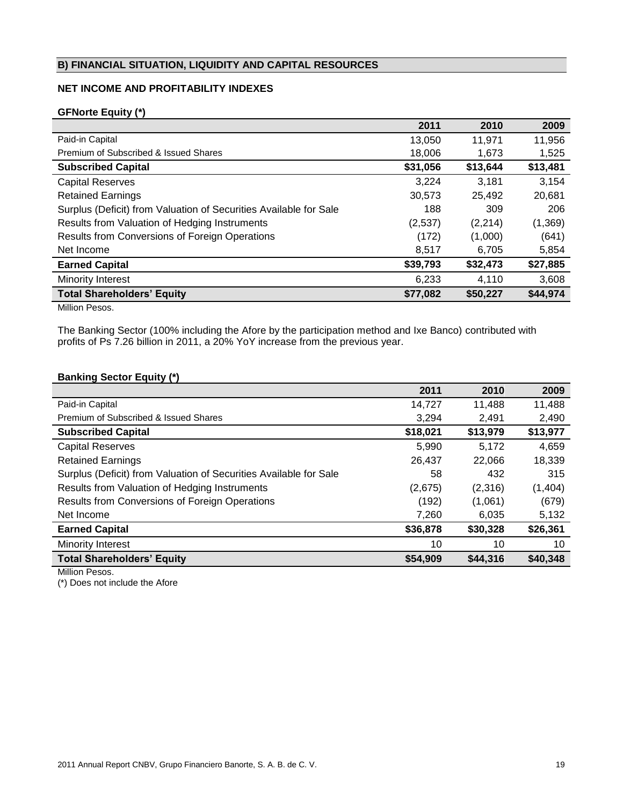#### **B) FINANCIAL SITUATION, LIQUIDITY AND CAPITAL RESOURCES**

#### **NET INCOME AND PROFITABILITY INDEXES**

#### **GFNorte Equity (\*)**

|                                                                   | 2011     | 2010     | 2009     |
|-------------------------------------------------------------------|----------|----------|----------|
| Paid-in Capital                                                   | 13,050   | 11,971   | 11,956   |
| Premium of Subscribed & Issued Shares                             | 18,006   | 1,673    | 1,525    |
| <b>Subscribed Capital</b>                                         | \$31,056 | \$13,644 | \$13,481 |
| <b>Capital Reserves</b>                                           | 3,224    | 3,181    | 3,154    |
| <b>Retained Earnings</b>                                          | 30,573   | 25,492   | 20,681   |
| Surplus (Deficit) from Valuation of Securities Available for Sale | 188      | 309      | 206      |
| Results from Valuation of Hedging Instruments                     | (2,537)  | (2,214)  | (1, 369) |
| Results from Conversions of Foreign Operations                    | (172)    | (1,000)  | (641)    |
| Net Income                                                        | 8,517    | 6,705    | 5,854    |
| <b>Earned Capital</b>                                             | \$39,793 | \$32,473 | \$27,885 |
| <b>Minority Interest</b>                                          | 6.233    | 4.110    | 3,608    |
| <b>Total Shareholders' Equity</b>                                 | \$77,082 | \$50,227 | \$44,974 |

Million Pesos.

The Banking Sector (100% including the Afore by the participation method and Ixe Banco) contributed with profits of Ps 7.26 billion in 2011, a 20% YoY increase from the previous year.

#### **Banking Sector Equity (\*)**

|                                                                   | 2011     | 2010     | 2009     |
|-------------------------------------------------------------------|----------|----------|----------|
| Paid-in Capital                                                   | 14.727   | 11,488   | 11,488   |
| Premium of Subscribed & Issued Shares                             | 3,294    | 2,491    | 2,490    |
| <b>Subscribed Capital</b>                                         | \$18,021 | \$13,979 | \$13,977 |
| <b>Capital Reserves</b>                                           | 5,990    | 5,172    | 4,659    |
| <b>Retained Earnings</b>                                          | 26,437   | 22,066   | 18,339   |
| Surplus (Deficit) from Valuation of Securities Available for Sale | 58       | 432      | 315      |
| Results from Valuation of Hedging Instruments                     | (2,675)  | (2,316)  | (1,404)  |
| Results from Conversions of Foreign Operations                    | (192)    | (1,061)  | (679)    |
| Net Income                                                        | 7,260    | 6,035    | 5,132    |
| <b>Earned Capital</b>                                             | \$36,878 | \$30,328 | \$26,361 |
| Minority Interest                                                 | 10       | 10       | 10       |
| <b>Total Shareholders' Equity</b>                                 | \$54,909 | \$44,316 | \$40,348 |
|                                                                   |          |          |          |

Million Pesos.

(\*) Does not include the Afore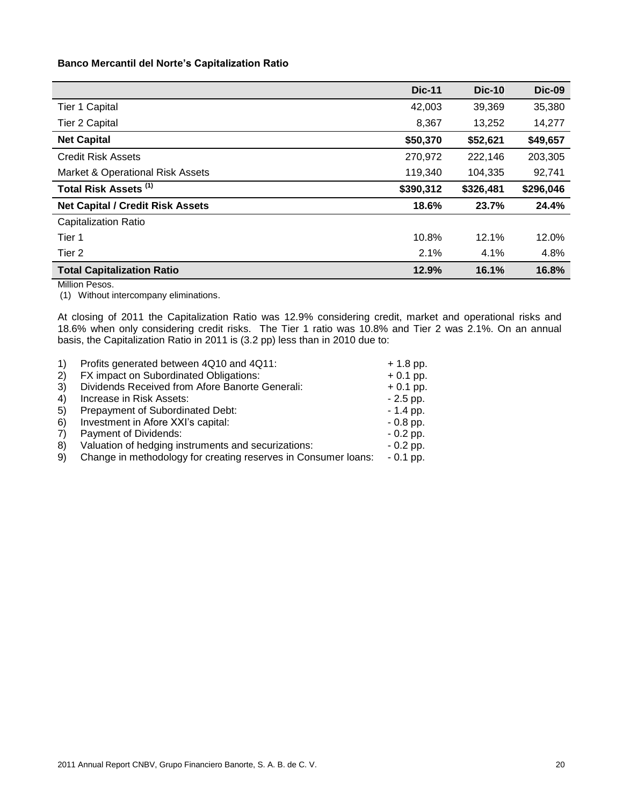#### **Banco Mercantil del Norte's Capitalization Ratio**

|                                         | <b>Dic-11</b> | <b>Dic-10</b> | <b>Dic-09</b> |
|-----------------------------------------|---------------|---------------|---------------|
| Tier 1 Capital                          | 42,003        | 39,369        | 35,380        |
| <b>Tier 2 Capital</b>                   | 8,367         | 13,252        | 14,277        |
| <b>Net Capital</b>                      | \$50,370      | \$52,621      | \$49,657      |
| <b>Credit Risk Assets</b>               | 270,972       | 222,146       | 203,305       |
| Market & Operational Risk Assets        | 119,340       | 104,335       | 92,741        |
| Total Risk Assets <sup>(1)</sup>        | \$390,312     | \$326,481     | \$296,046     |
| <b>Net Capital / Credit Risk Assets</b> | 18.6%         | 23.7%         | 24.4%         |
| <b>Capitalization Ratio</b>             |               |               |               |
| Tier 1                                  | 10.8%         | 12.1%         | 12.0%         |
| Tier 2                                  | 2.1%          | 4.1%          | 4.8%          |
| <b>Total Capitalization Ratio</b>       | 12.9%         | 16.1%         | 16.8%         |

Million Pesos.

(1) Without intercompany eliminations.

At closing of 2011 the Capitalization Ratio was 12.9% considering credit, market and operational risks and 18.6% when only considering credit risks. The Tier 1 ratio was 10.8% and Tier 2 was 2.1%. On an annual basis, the Capitalization Ratio in 2011 is (3.2 pp) less than in 2010 due to:

|     | Profits generated between 4Q10 and 4Q11:                       | $+ 1.8$ pp. |
|-----|----------------------------------------------------------------|-------------|
| 2)  | FX impact on Subordinated Obligations:                         | $+0.1$ pp.  |
| 3)  | Dividends Received from Afore Banorte Generali:                | $+0.1$ pp.  |
| 4)  | Increase in Risk Assets:                                       | $-2.5$ pp.  |
| -5) | Prepayment of Subordinated Debt:                               | $-1.4$ pp.  |
| 6)  | Investment in Afore XXI's capital:                             | $-0.8$ pp.  |
| 7)  | Payment of Dividends:                                          | $-0.2$ pp.  |
| 8)  | Valuation of hedging instruments and securizations:            | $-0.2$ pp.  |
| 9)  | Change in methodology for creating reserves in Consumer loans: | $-0.1$ pp.  |
|     |                                                                |             |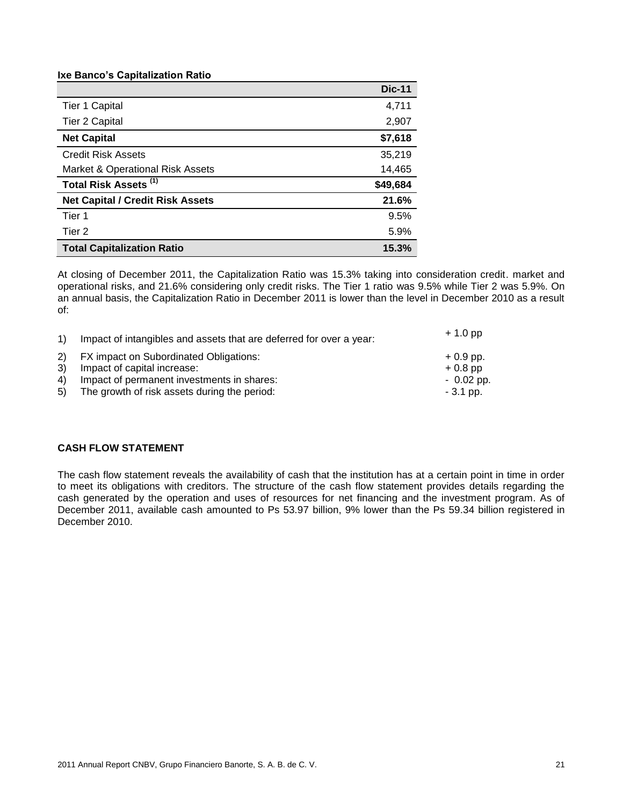#### **Ixe Banco's Capitalization Ratio**

|                                         | <b>Dic-11</b> |
|-----------------------------------------|---------------|
| <b>Tier 1 Capital</b>                   | 4,711         |
| Tier 2 Capital                          | 2,907         |
| <b>Net Capital</b>                      | \$7,618       |
| <b>Credit Risk Assets</b>               | 35,219        |
| Market & Operational Risk Assets        | 14,465        |
| Total Risk Assets <sup>(1)</sup>        | \$49,684      |
| <b>Net Capital / Credit Risk Assets</b> | 21.6%         |
| Tier 1                                  | 9.5%          |
| Tier 2                                  | 5.9%          |
| <b>Total Capitalization Ratio</b>       | 15.3%         |

At closing of December 2011, the Capitalization Ratio was 15.3% taking into consideration credit. market and operational risks, and 21.6% considering only credit risks. The Tier 1 ratio was 9.5% while Tier 2 was 5.9%. On an annual basis, the Capitalization Ratio in December 2011 is lower than the level in December 2010 as a result of:

| $\left( \begin{matrix} 1 \end{matrix} \right)$ | Impact of intangibles and assets that are deferred for over a year: |             |
|------------------------------------------------|---------------------------------------------------------------------|-------------|
|                                                | 2) FX impact on Subordinated Obligations:                           | $+0.9$ pp.  |
| 3 <sup>)</sup>                                 | Impact of capital increase:                                         | $+0.8$ pp   |
| 4)                                             | Impact of permanent investments in shares:                          | $-0.02$ pp. |
| 5)                                             | The growth of risk assets during the period:                        | $-3.1$ pp.  |

#### **CASH FLOW STATEMENT**

The cash flow statement reveals the availability of cash that the institution has at a certain point in time in order to meet its obligations with creditors. The structure of the cash flow statement provides details regarding the cash generated by the operation and uses of resources for net financing and the investment program. As of December 2011, available cash amounted to Ps 53.97 billion, 9% lower than the Ps 59.34 billion registered in December 2010.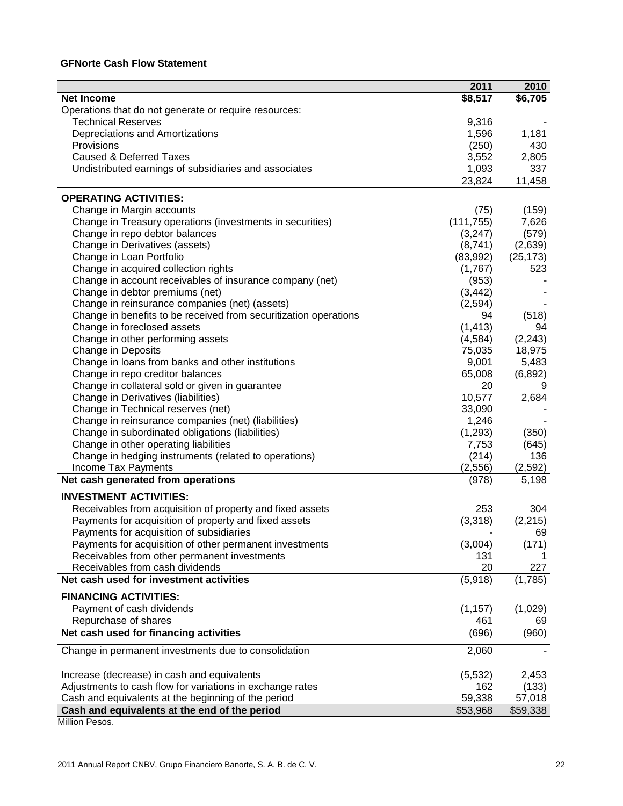#### **GFNorte Cash Flow Statement**

|                                                                                                   | 2011       | 2010      |
|---------------------------------------------------------------------------------------------------|------------|-----------|
| <b>Net Income</b>                                                                                 | \$8,517    | \$6,705   |
| Operations that do not generate or require resources:                                             |            |           |
| <b>Technical Reserves</b>                                                                         | 9,316      |           |
| Depreciations and Amortizations                                                                   | 1,596      | 1,181     |
| Provisions                                                                                        | (250)      | 430       |
| <b>Caused &amp; Deferred Taxes</b>                                                                | 3,552      | 2,805     |
| Undistributed earnings of subsidiaries and associates                                             | 1,093      | 337       |
|                                                                                                   | 23,824     | 11,458    |
| <b>OPERATING ACTIVITIES:</b>                                                                      |            |           |
| Change in Margin accounts                                                                         | (75)       | (159)     |
| Change in Treasury operations (investments in securities)                                         | (111, 755) | 7,626     |
| Change in repo debtor balances                                                                    | (3,247)    | (579)     |
| Change in Derivatives (assets)                                                                    | (8,741)    | (2,639)   |
| Change in Loan Portfolio                                                                          | (83,992)   | (25, 173) |
| Change in acquired collection rights                                                              | (1,767)    | 523       |
| Change in account receivables of insurance company (net)                                          | (953)      |           |
| Change in debtor premiums (net)                                                                   | (3, 442)   |           |
| Change in reinsurance companies (net) (assets)                                                    | (2,594)    |           |
| Change in benefits to be received from securitization operations                                  | 94         | (518)     |
| Change in foreclosed assets                                                                       | (1, 413)   | 94        |
| Change in other performing assets                                                                 | (4, 584)   | (2, 243)  |
| <b>Change in Deposits</b>                                                                         | 75,035     | 18,975    |
| Change in loans from banks and other institutions                                                 | 9,001      | 5,483     |
| Change in repo creditor balances                                                                  | 65,008     | (6, 892)  |
| Change in collateral sold or given in guarantee                                                   | 20         | 9         |
| Change in Derivatives (liabilities)                                                               | 10,577     | 2,684     |
| Change in Technical reserves (net)                                                                | 33,090     |           |
| Change in reinsurance companies (net) (liabilities)                                               | 1,246      |           |
| Change in subordinated obligations (liabilities)                                                  | (1,293)    | (350)     |
| Change in other operating liabilities                                                             | 7,753      | (645)     |
| Change in hedging instruments (related to operations)                                             | (214)      | 136       |
| Income Tax Payments                                                                               | (2, 556)   | (2, 592)  |
| Net cash generated from operations                                                                | (978)      | 5,198     |
|                                                                                                   |            |           |
| <b>INVESTMENT ACTIVITIES:</b>                                                                     | 253        | 304       |
| Receivables from acquisition of property and fixed assets                                         |            |           |
| Payments for acquisition of property and fixed assets<br>Payments for acquisition of subsidiaries | (3,318)    | (2, 215)  |
|                                                                                                   |            | 69        |
| Payments for acquisition of other permanent investments                                           | (3,004)    | (171)     |
| Receivables from other permanent investments                                                      | 131<br>20  | 227       |
| Receivables from cash dividends<br>Net cash used for investment activities                        | (5,918)    | (1,785)   |
|                                                                                                   |            |           |
| <b>FINANCING ACTIVITIES:</b>                                                                      |            |           |
| Payment of cash dividends                                                                         | (1, 157)   | (1,029)   |
| Repurchase of shares                                                                              | 461        | 69        |
| Net cash used for financing activities                                                            | (696)      | (960)     |
| Change in permanent investments due to consolidation                                              | 2,060      |           |
| Increase (decrease) in cash and equivalents                                                       | (5,532)    | 2,453     |
| Adjustments to cash flow for variations in exchange rates                                         | 162        | (133)     |
| Cash and equivalents at the beginning of the period                                               | 59,338     | 57,018    |
| Cash and equivalents at the end of the period                                                     | \$53,968   | \$59,338  |
|                                                                                                   |            |           |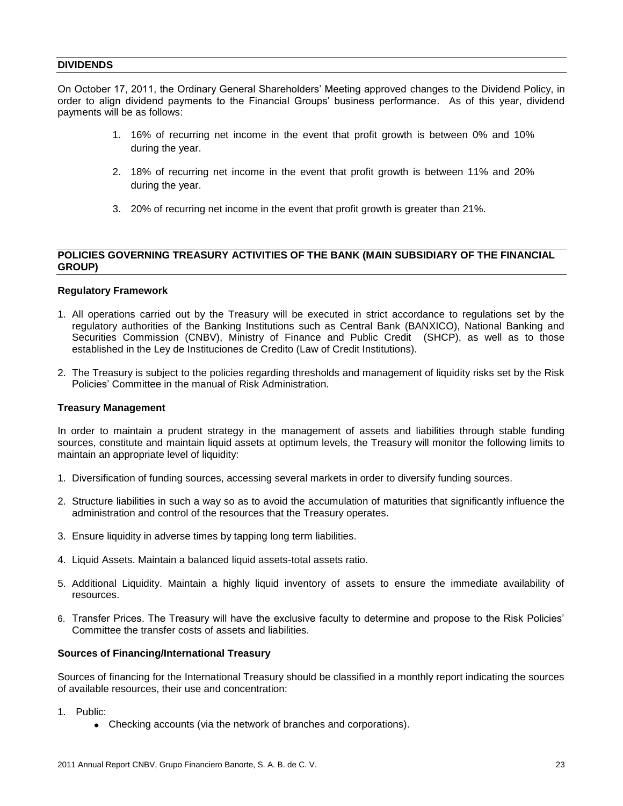#### **DIVIDENDS**

On October 17, 2011, the Ordinary General Shareholders' Meeting approved changes to the Dividend Policy, in order to align dividend payments to the Financial Groups' business performance. As of this year, dividend payments will be as follows:

- 1. 16% of recurring net income in the event that profit growth is between 0% and 10% during the year.
- 2. 18% of recurring net income in the event that profit growth is between 11% and 20% during the year.
- 3. 20% of recurring net income in the event that profit growth is greater than 21%.

#### **POLICIES GOVERNING TREASURY ACTIVITIES OF THE BANK (MAIN SUBSIDIARY OF THE FINANCIAL GROUP)**

#### **Regulatory Framework**

- 1. All operations carried out by the Treasury will be executed in strict accordance to regulations set by the regulatory authorities of the Banking Institutions such as Central Bank (BANXICO), National Banking and Securities Commission (CNBV), Ministry of Finance and Public Credit (SHCP), as well as to those established in the Ley de Instituciones de Credito (Law of Credit Institutions).
- 2. The Treasury is subject to the policies regarding thresholds and management of liquidity risks set by the Risk Policies' Committee in the manual of Risk Administration.

#### **Treasury Management**

In order to maintain a prudent strategy in the management of assets and liabilities through stable funding sources, constitute and maintain liquid assets at optimum levels, the Treasury will monitor the following limits to maintain an appropriate level of liquidity:

- 1. Diversification of funding sources, accessing several markets in order to diversify funding sources.
- 2. Structure liabilities in such a way so as to avoid the accumulation of maturities that significantly influence the administration and control of the resources that the Treasury operates.
- 3. Ensure liquidity in adverse times by tapping long term liabilities.
- 4. Liquid Assets. Maintain a balanced liquid assets-total assets ratio.
- 5. Additional Liquidity. Maintain a highly liquid inventory of assets to ensure the immediate availability of resources.
- 6. Transfer Prices. The Treasury will have the exclusive faculty to determine and propose to the Risk Policies' Committee the transfer costs of assets and liabilities.

#### **Sources of Financing/International Treasury**

Sources of financing for the International Treasury should be classified in a monthly report indicating the sources of available resources, their use and concentration:

- 1. Public:
	- Checking accounts (via the network of branches and corporations).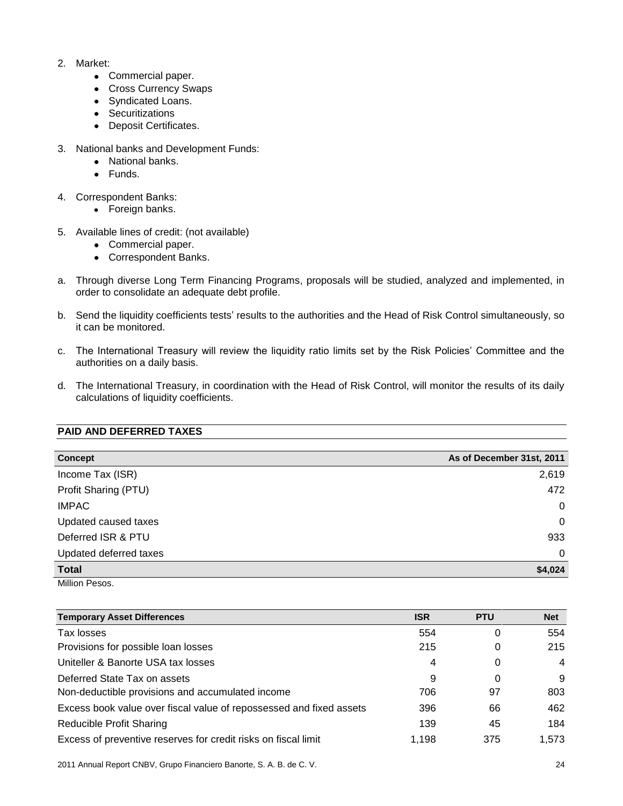- 2. Market:
	- Commercial paper.
	- Cross Currency Swaps
	- Syndicated Loans.
	- Securitizations
	- Deposit Certificates.
- 3. National banks and Development Funds:
	- National banks.
	- Funds.
- 4. Correspondent Banks:
	- Foreign banks.
- 5. Available lines of credit: (not available)
	- Commercial paper.
	- Correspondent Banks.
- a. Through diverse Long Term Financing Programs, proposals will be studied, analyzed and implemented, in order to consolidate an adequate debt profile.
- b. Send the liquidity coefficients tests' results to the authorities and the Head of Risk Control simultaneously, so it can be monitored.
- c. The International Treasury will review the liquidity ratio limits set by the Risk Policies' Committee and the authorities on a daily basis.
- d. The International Treasury, in coordination with the Head of Risk Control, will monitor the results of its daily calculations of liquidity coefficients.

#### **PAID AND DEFERRED TAXES**

| Concept                | As of December 31st, 2011 |
|------------------------|---------------------------|
| Income Tax (ISR)       | 2,619                     |
| Profit Sharing (PTU)   | 472                       |
| <b>IMPAC</b>           | $\mathbf 0$               |
| Updated caused taxes   | $\mathbf 0$               |
| Deferred ISR & PTU     | 933                       |
| Updated deferred taxes | $\Omega$                  |
| <b>Total</b>           | \$4,024                   |
| Million Pesos.         |                           |

| <b>Temporary Asset Differences</b>                                  | <b>ISR</b> | <b>PTU</b> | <b>Net</b>     |
|---------------------------------------------------------------------|------------|------------|----------------|
| Tax losses                                                          | 554        | 0          | 554            |
| Provisions for possible loan losses                                 | 215        | 0          | 215            |
| Uniteller & Banorte USA tax losses                                  | 4          | 0          | $\overline{4}$ |
| Deferred State Tax on assets                                        | 9          | 0          | 9              |
| Non-deductible provisions and accumulated income                    | 706        | 97         | 803            |
| Excess book value over fiscal value of repossessed and fixed assets | 396        | 66         | 462            |
| <b>Reducible Profit Sharing</b>                                     | 139        | 45         | 184            |
| Excess of preventive reserves for credit risks on fiscal limit      | 1,198      | 375        | 1.573          |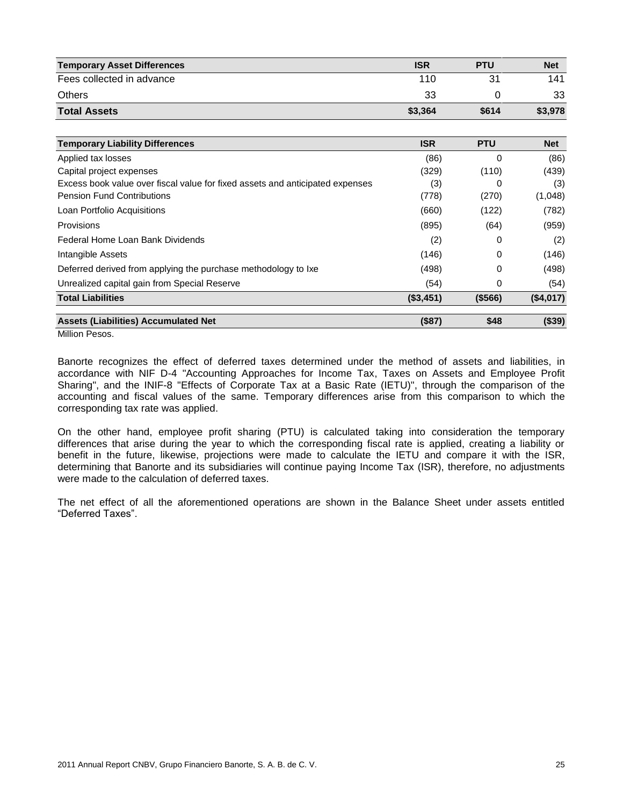| <b>Temporary Asset Differences</b> | <b>ISR</b> | <b>PTU</b> | <b>Net</b> |
|------------------------------------|------------|------------|------------|
| Fees collected in advance          | 110        | 31         | 141        |
| <b>Others</b>                      | 33         |            | 33         |
| <b>Total Assets</b>                | \$3,364    | \$614      | \$3,978    |

| <b>Temporary Liability Differences</b>                                        | <b>ISR</b> | <b>PTU</b> | <b>Net</b> |
|-------------------------------------------------------------------------------|------------|------------|------------|
| Applied tax losses                                                            | (86)       | 0          | (86)       |
| Capital project expenses                                                      | (329)      | (110)      | (439)      |
| Excess book value over fiscal value for fixed assets and anticipated expenses | (3)        | 0          | (3)        |
| <b>Pension Fund Contributions</b>                                             | (778)      | (270)      | (1,048)    |
| Loan Portfolio Acquisitions                                                   | (660)      | (122)      | (782)      |
| Provisions                                                                    | (895)      | (64)       | (959)      |
| Federal Home Loan Bank Dividends                                              | (2)        | 0          | (2)        |
| Intangible Assets                                                             | (146)      | 0          | (146)      |
| Deferred derived from applying the purchase methodology to Ixe                | (498)      | 0          | (498)      |
| Unrealized capital gain from Special Reserve                                  | (54)       | 0          | (54)       |
| <b>Total Liabilities</b>                                                      | (\$3,451)  | ( \$566)   | (\$4,017)  |
| <b>Assets (Liabilities) Accumulated Net</b>                                   | (\$87)     | \$48       | (\$39)     |

Million Pesos.

Banorte recognizes the effect of deferred taxes determined under the method of assets and liabilities, in accordance with NIF D-4 "Accounting Approaches for Income Tax, Taxes on Assets and Employee Profit Sharing", and the INIF-8 "Effects of Corporate Tax at a Basic Rate (IETU)", through the comparison of the accounting and fiscal values of the same. Temporary differences arise from this comparison to which the corresponding tax rate was applied.

On the other hand, employee profit sharing (PTU) is calculated taking into consideration the temporary differences that arise during the year to which the corresponding fiscal rate is applied, creating a liability or benefit in the future, likewise, projections were made to calculate the IETU and compare it with the ISR, determining that Banorte and its subsidiaries will continue paying Income Tax (ISR), therefore, no adjustments were made to the calculation of deferred taxes.

The net effect of all the aforementioned operations are shown in the Balance Sheet under assets entitled "Deferred Taxes".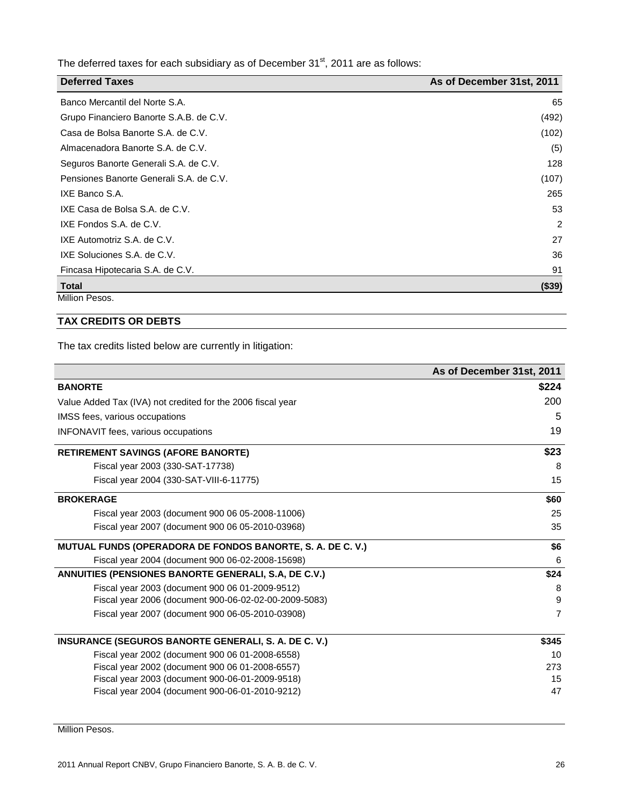The deferred taxes for each subsidiary as of December 31 $^{\rm st}$ , 2011 are as follows:

| <b>Deferred Taxes</b>                   | As of December 31st, 2011 |
|-----------------------------------------|---------------------------|
| Banco Mercantil del Norte S.A.          | 65                        |
| Grupo Financiero Banorte S.A.B. de C.V. | (492)                     |
| Casa de Bolsa Banorte S.A. de C.V.      | (102)                     |
| Almacenadora Banorte S.A. de C.V.       | (5)                       |
| Seguros Banorte Generali S.A. de C.V.   | 128                       |
| Pensiones Banorte Generali S.A. de C.V. | (107)                     |
| IXE Banco S.A.                          | 265                       |
| IXE Casa de Bolsa S.A. de C.V.          | 53                        |
| IXE Fondos S.A. de C.V.                 | 2                         |
| IXE Automotriz S.A. de C.V.             | 27                        |
| IXE Soluciones S.A. de C.V.             | 36                        |
| Fincasa Hipotecaria S.A. de C.V.        | 91                        |
| <b>Total</b>                            | ( \$39)                   |
| Million Pesos.                          |                           |

#### **TAX CREDITS OR DEBTS**

The tax credits listed below are currently in litigation:

|                                                                   | As of December 31st, 2011 |
|-------------------------------------------------------------------|---------------------------|
| <b>BANORTE</b>                                                    | \$224                     |
| Value Added Tax (IVA) not credited for the 2006 fiscal year       | 200                       |
| IMSS fees, various occupations                                    | 5                         |
| <b>INFONAVIT fees, various occupations</b>                        | 19                        |
| <b>RETIREMENT SAVINGS (AFORE BANORTE)</b>                         | \$23                      |
| Fiscal year 2003 (330-SAT-17738)                                  | 8                         |
| Fiscal year 2004 (330-SAT-VIII-6-11775)                           | 15                        |
| <b>BROKERAGE</b>                                                  | \$60                      |
| Fiscal year 2003 (document 900 06 05-2008-11006)                  | 25                        |
| Fiscal year 2007 (document 900 06 05-2010-03968)                  | 35                        |
| <b>MUTUAL FUNDS (OPERADORA DE FONDOS BANORTE, S. A. DE C. V.)</b> | \$6                       |
| Fiscal year 2004 (document 900 06-02-2008-15698)                  | 6                         |
| ANNUITIES (PENSIONES BANORTE GENERALI, S.A. DE C.V.)              | \$24                      |
| Fiscal year 2003 (document 900 06 01-2009-9512)                   | 8                         |
| Fiscal year 2006 (document 900-06-02-02-00-2009-5083)             | 9                         |
| Fiscal year 2007 (document 900 06-05-2010-03908)                  | $\overline{7}$            |
| <b>INSURANCE (SEGUROS BANORTE GENERALI, S. A. DE C. V.)</b>       | \$345                     |
| Fiscal year 2002 (document 900 06 01-2008-6558)                   | 10                        |
| Fiscal year 2002 (document 900 06 01-2008-6557)                   | 273                       |
| Fiscal year 2003 (document 900-06-01-2009-9518)                   | 15                        |
| Fiscal year 2004 (document 900-06-01-2010-9212)                   | 47                        |

Million Pesos.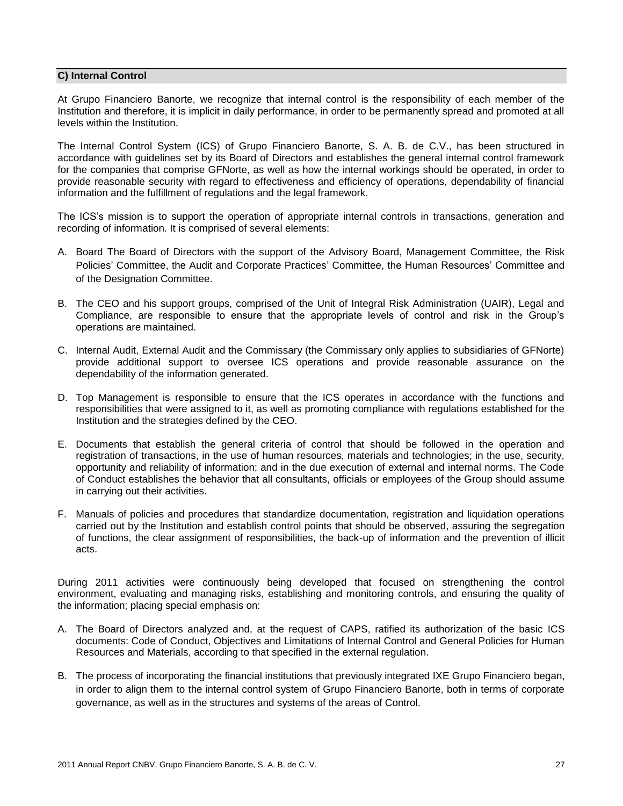#### **C) Internal Control**

At Grupo Financiero Banorte, we recognize that internal control is the responsibility of each member of the Institution and therefore, it is implicit in daily performance, in order to be permanently spread and promoted at all levels within the Institution.

The Internal Control System (ICS) of Grupo Financiero Banorte, S. A. B. de C.V., has been structured in accordance with guidelines set by its Board of Directors and establishes the general internal control framework for the companies that comprise GFNorte, as well as how the internal workings should be operated, in order to provide reasonable security with regard to effectiveness and efficiency of operations, dependability of financial information and the fulfillment of regulations and the legal framework.

The ICS's mission is to support the operation of appropriate internal controls in transactions, generation and recording of information. It is comprised of several elements:

- A. Board The Board of Directors with the support of the Advisory Board, Management Committee, the Risk Policies' Committee, the Audit and Corporate Practices' Committee, the Human Resources' Committee and of the Designation Committee.
- B. The CEO and his support groups, comprised of the Unit of Integral Risk Administration (UAIR), Legal and Compliance, are responsible to ensure that the appropriate levels of control and risk in the Group's operations are maintained.
- C. Internal Audit, External Audit and the Commissary (the Commissary only applies to subsidiaries of GFNorte) provide additional support to oversee ICS operations and provide reasonable assurance on the dependability of the information generated.
- D. Top Management is responsible to ensure that the ICS operates in accordance with the functions and responsibilities that were assigned to it, as well as promoting compliance with regulations established for the Institution and the strategies defined by the CEO.
- E. Documents that establish the general criteria of control that should be followed in the operation and registration of transactions, in the use of human resources, materials and technologies; in the use, security, opportunity and reliability of information; and in the due execution of external and internal norms. The Code of Conduct establishes the behavior that all consultants, officials or employees of the Group should assume in carrying out their activities.
- F. Manuals of policies and procedures that standardize documentation, registration and liquidation operations carried out by the Institution and establish control points that should be observed, assuring the segregation of functions, the clear assignment of responsibilities, the back-up of information and the prevention of illicit acts.

During 2011 activities were continuously being developed that focused on strengthening the control environment, evaluating and managing risks, establishing and monitoring controls, and ensuring the quality of the information; placing special emphasis on:

- A. The Board of Directors analyzed and, at the request of CAPS, ratified its authorization of the basic ICS documents: Code of Conduct, Objectives and Limitations of Internal Control and General Policies for Human Resources and Materials, according to that specified in the external regulation.
- B. The process of incorporating the financial institutions that previously integrated IXE Grupo Financiero began, in order to align them to the internal control system of Grupo Financiero Banorte, both in terms of corporate governance, as well as in the structures and systems of the areas of Control.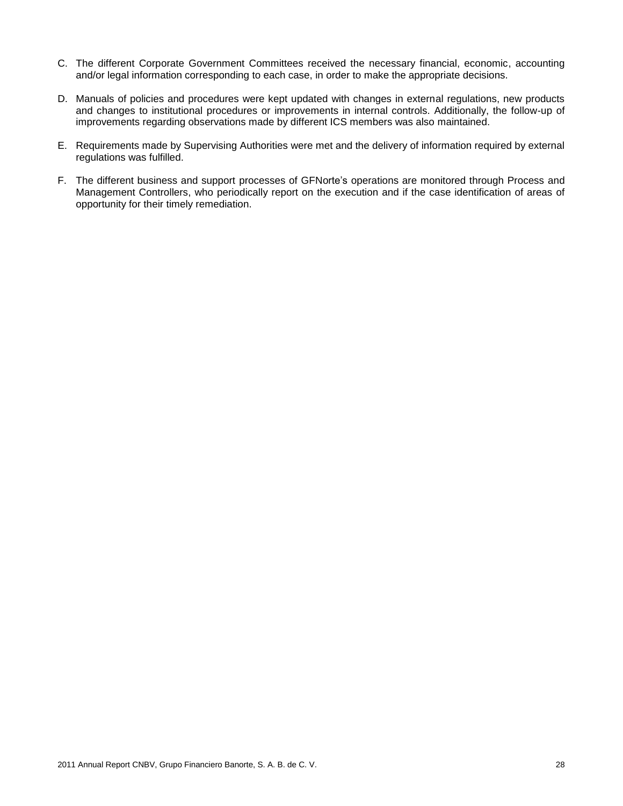- C. The different Corporate Government Committees received the necessary financial, economic, accounting and/or legal information corresponding to each case, in order to make the appropriate decisions.
- D. Manuals of policies and procedures were kept updated with changes in external regulations, new products and changes to institutional procedures or improvements in internal controls. Additionally, the follow-up of improvements regarding observations made by different ICS members was also maintained.
- E. Requirements made by Supervising Authorities were met and the delivery of information required by external regulations was fulfilled.
- F. The different business and support processes of GFNorte's operations are monitored through Process and Management Controllers, who periodically report on the execution and if the case identification of areas of opportunity for their timely remediation.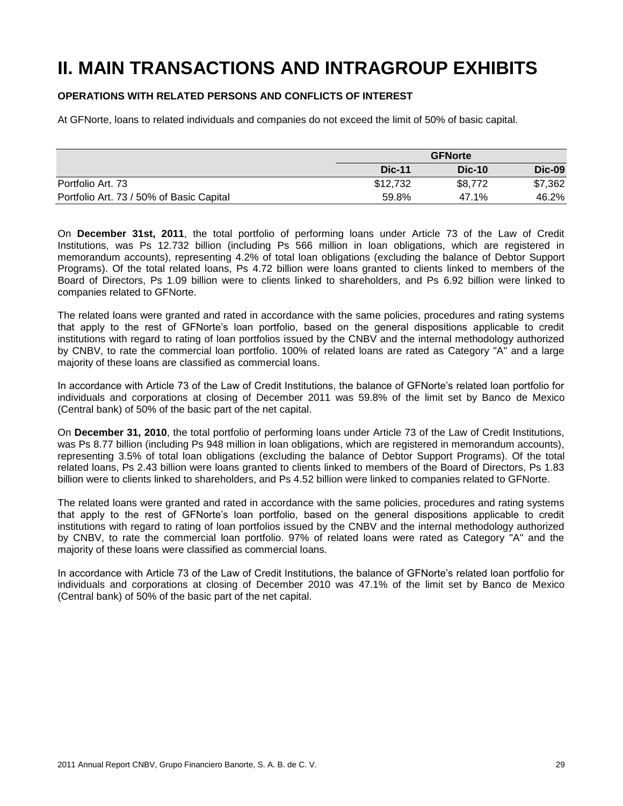# **II. MAIN TRANSACTIONS AND INTRAGROUP EXHIBITS**

#### **OPERATIONS WITH RELATED PERSONS AND CONFLICTS OF INTEREST**

At GFNorte, loans to related individuals and companies do not exceed the limit of 50% of basic capital.

|                                          | <b>GFNorte</b> |               |          |
|------------------------------------------|----------------|---------------|----------|
|                                          | <b>Dic-11</b>  | <b>Dic-10</b> | $Dic-09$ |
| Portfolio Art. 73                        | \$12,732       | \$8,772       | \$7,362  |
| Portfolio Art. 73 / 50% of Basic Capital | 59.8%          | 47.1%         | 46.2%    |

On **December 31st, 2011**, the total portfolio of performing loans under Article 73 of the Law of Credit Institutions, was Ps 12.732 billion (including Ps 566 million in loan obligations, which are registered in memorandum accounts), representing 4.2% of total loan obligations (excluding the balance of Debtor Support Programs). Of the total related loans, Ps 4.72 billion were loans granted to clients linked to members of the Board of Directors, Ps 1.09 billion were to clients linked to shareholders, and Ps 6.92 billion were linked to companies related to GFNorte.

The related loans were granted and rated in accordance with the same policies, procedures and rating systems that apply to the rest of GFNorte's loan portfolio, based on the general dispositions applicable to credit institutions with regard to rating of loan portfolios issued by the CNBV and the internal methodology authorized by CNBV, to rate the commercial loan portfolio. 100% of related loans are rated as Category "A" and a large majority of these loans are classified as commercial loans.

In accordance with Article 73 of the Law of Credit Institutions, the balance of GFNorte's related loan portfolio for individuals and corporations at closing of December 2011 was 59.8% of the limit set by Banco de Mexico (Central bank) of 50% of the basic part of the net capital.

On **December 31, 2010**, the total portfolio of performing loans under Article 73 of the Law of Credit Institutions, was Ps 8.77 billion (including Ps 948 million in loan obligations, which are registered in memorandum accounts), representing 3.5% of total loan obligations (excluding the balance of Debtor Support Programs). Of the total related loans, Ps 2.43 billion were loans granted to clients linked to members of the Board of Directors, Ps 1.83 billion were to clients linked to shareholders, and Ps 4.52 billion were linked to companies related to GFNorte.

The related loans were granted and rated in accordance with the same policies, procedures and rating systems that apply to the rest of GFNorte's loan portfolio, based on the general dispositions applicable to credit institutions with regard to rating of loan portfolios issued by the CNBV and the internal methodology authorized by CNBV, to rate the commercial loan portfolio. 97% of related loans were rated as Category "A" and the majority of these loans were classified as commercial loans.

In accordance with Article 73 of the Law of Credit Institutions, the balance of GFNorte's related loan portfolio for individuals and corporations at closing of December 2010 was 47.1% of the limit set by Banco de Mexico (Central bank) of 50% of the basic part of the net capital.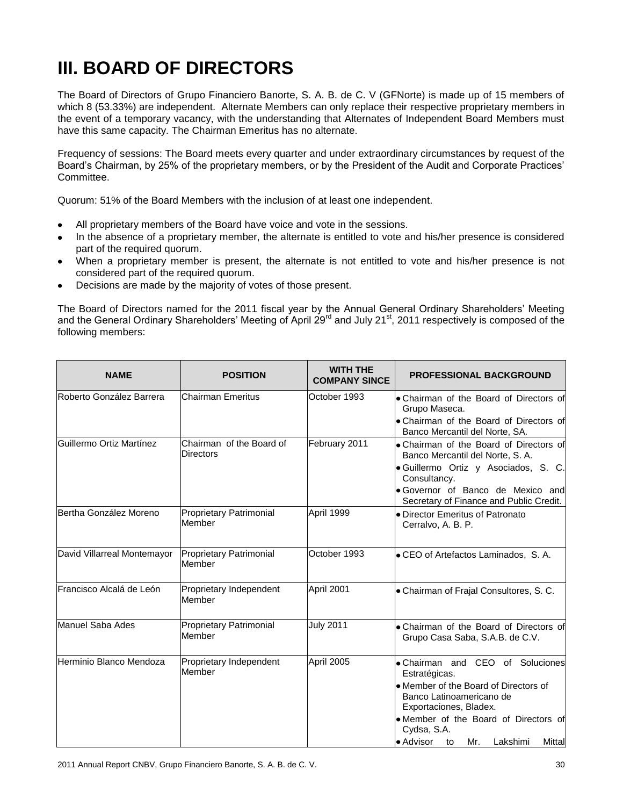# **III. BOARD OF DIRECTORS**

The Board of Directors of Grupo Financiero Banorte, S. A. B. de C. V (GFNorte) is made up of 15 members of which 8 (53.33%) are independent. Alternate Members can only replace their respective proprietary members in the event of a temporary vacancy, with the understanding that Alternates of Independent Board Members must have this same capacity. The Chairman Emeritus has no alternate.

Frequency of sessions: The Board meets every quarter and under extraordinary circumstances by request of the Board's Chairman, by 25% of the proprietary members, or by the President of the Audit and Corporate Practices' Committee.

Quorum: 51% of the Board Members with the inclusion of at least one independent.

- All proprietary members of the Board have voice and vote in the sessions.
- In the absence of a proprietary member, the alternate is entitled to vote and his/her presence is considered  $\bullet$ part of the required quorum.
- When a proprietary member is present, the alternate is not entitled to vote and his/her presence is not considered part of the required quorum.
- Decisions are made by the majority of votes of those present.

The Board of Directors named for the 2011 fiscal year by the Annual General Ordinary Shareholders' Meeting and the General Ordinary Shareholders' Meeting of April 29<sup>rd</sup> and July 21<sup>st</sup>, 2011 respectively is composed of the following members:

| <b>NAME</b>                 | <b>POSITION</b>                              | <b>WITH THE</b><br><b>COMPANY SINCE</b> | <b>PROFESSIONAL BACKGROUND</b>                                                                                                                                                                                                                        |
|-----------------------------|----------------------------------------------|-----------------------------------------|-------------------------------------------------------------------------------------------------------------------------------------------------------------------------------------------------------------------------------------------------------|
| Roberto González Barrera    | Chairman Emeritus                            | October 1993                            | • Chairman of the Board of Directors of<br>Grupo Maseca.<br>• Chairman of the Board of Directors of<br>Banco Mercantil del Norte, SA.                                                                                                                 |
| Guillermo Ortiz Martínez    | Chairman of the Board of<br><b>Directors</b> | February 2011                           | • Chairman of the Board of Directors of<br>Banco Mercantil del Norte, S.A.<br>· Guillermo Ortiz y Asociados, S. C.<br>Consultancy.<br>· Governor of Banco de Mexico and<br>Secretary of Finance and Public Credit.                                    |
| Bertha González Moreno      | Proprietary Patrimonial<br>Member            | April 1999                              | • Director Emeritus of Patronato<br>Cerralvo, A. B. P.                                                                                                                                                                                                |
| David Villarreal Montemayor | Proprietary Patrimonial<br>Member            | October 1993                            | • CEO of Artefactos Laminados, S.A.                                                                                                                                                                                                                   |
| Francisco Alcalá de León    | Proprietary Independent<br>Member            | April 2001                              | • Chairman of Frajal Consultores, S. C.                                                                                                                                                                                                               |
| Manuel Saba Ades            | Proprietary Patrimonial<br>Member            | <b>July 2011</b>                        | • Chairman of the Board of Directors of<br>Grupo Casa Saba, S.A.B. de C.V.                                                                                                                                                                            |
| Herminio Blanco Mendoza     | Proprietary Independent<br>Member            | April 2005                              | • Chairman and CEO of Soluciones<br>Estratégicas.<br>• Member of the Board of Directors of<br>Banco Latinoamericano de<br>Exportaciones, Bladex.<br>• Member of the Board of Directors of<br>Cydsa, S.A.<br>• Advisor to<br>Lakshimi<br>Mittal<br>Mr. |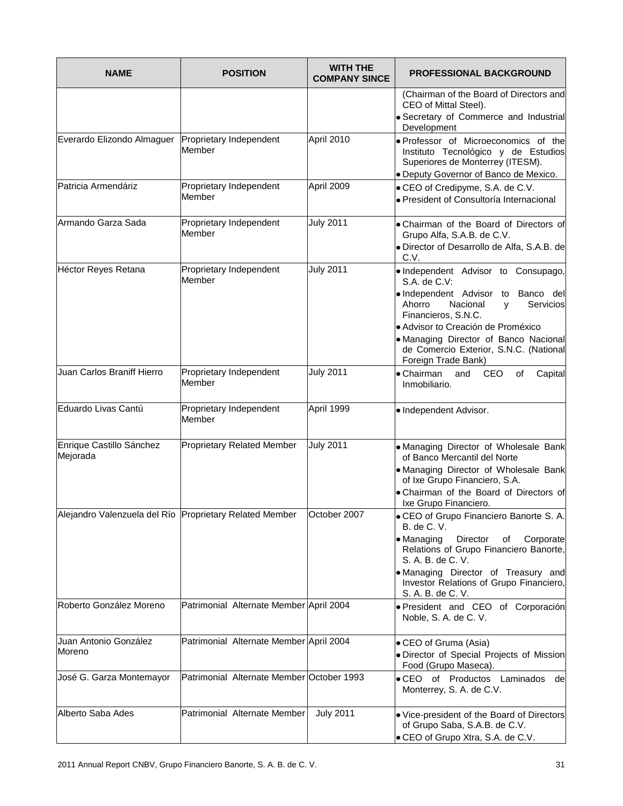| <b>NAME</b>                          | <b>POSITION</b>                                                        | <b>WITH THE</b><br><b>COMPANY SINCE</b> | <b>PROFESSIONAL BACKGROUND</b>                                                                                                                                                                                                                                                                           |
|--------------------------------------|------------------------------------------------------------------------|-----------------------------------------|----------------------------------------------------------------------------------------------------------------------------------------------------------------------------------------------------------------------------------------------------------------------------------------------------------|
|                                      |                                                                        |                                         | (Chairman of the Board of Directors and<br>CEO of Mittal Steel).<br>· Secretary of Commerce and Industrial<br>Development                                                                                                                                                                                |
| Everardo Elizondo Almaguer           | Proprietary Independent<br>Member                                      | April 2010                              | . Professor of Microeconomics of the<br>Instituto Tecnológico y de Estudios<br>Superiores de Monterrey (ITESM).<br>· Deputy Governor of Banco de Mexico.                                                                                                                                                 |
| Patricia Armendáriz                  | Proprietary Independent<br>Member                                      | April 2009                              | • CEO of Credipyme, S.A. de C.V.<br>· President of Consultoría Internacional                                                                                                                                                                                                                             |
| Armando Garza Sada                   | Proprietary Independent<br>Member                                      | <b>July 2011</b>                        | • Chairman of the Board of Directors of<br>Grupo Alfa, S.A.B. de C.V.<br>· Director of Desarrollo de Alfa, S.A.B. de<br>C.V.                                                                                                                                                                             |
| Héctor Reyes Retana                  | Proprietary Independent<br>Member                                      | <b>July 2011</b>                        | . Independent Advisor to Consupago,<br>S.A. de C.V:<br>. Independent Advisor to Banco del<br>Ahorro<br>Nacional<br>Servicios<br>V<br>Financieros, S.N.C.<br>• Advisor to Creación de Proméxico<br>· Managing Director of Banco Nacional<br>de Comercio Exterior, S.N.C. (National<br>Foreign Trade Bank) |
| Juan Carlos Braniff Hierro           | Proprietary Independent<br>Member                                      | <b>July 2011</b>                        | • Chairman<br>CEO<br>and<br>of<br>Capital<br>Inmobiliario.                                                                                                                                                                                                                                               |
| Eduardo Livas Cantú                  | Proprietary Independent<br>Member                                      | April 1999                              | · Independent Advisor.                                                                                                                                                                                                                                                                                   |
| Enrique Castillo Sánchez<br>Mejorada | <b>Proprietary Related Member</b>                                      | <b>July 2011</b>                        | . Managing Director of Wholesale Bank<br>of Banco Mercantil del Norte<br>. Managing Director of Wholesale Bank<br>of Ixe Grupo Financiero, S.A.<br>. Chairman of the Board of Directors of<br>Ixe Grupo Financiero.                                                                                      |
|                                      | Alejandro Valenzuela del Río Proprietary Related Member   October 2007 |                                         | • CEO of Grupo Financiero Banorte S. A.<br><b>B.</b> de C. V.<br>• Managing<br>Director<br>οf<br>Corporate<br>Relations of Grupo Financiero Banorte,<br>S. A. B. de C. V.<br>. Managing Director of Treasury and<br>Investor Relations of Grupo Financiero,<br>S. A. B. de C. V.                         |
| Roberto González Moreno              | Patrimonial Alternate Member April 2004                                |                                         | · President and CEO of Corporación<br>Noble, S. A. de C. V.                                                                                                                                                                                                                                              |
| Juan Antonio González<br>Moreno      | Patrimonial Alternate Member April 2004                                |                                         | • CEO of Gruma (Asia)<br>· Director of Special Projects of Mission<br>Food (Grupo Maseca).                                                                                                                                                                                                               |
| José G. Garza Montemayor             | Patrimonial Alternate Member October 1993                              |                                         | . CEO of Productos Laminados<br>de<br>Monterrey, S. A. de C.V.                                                                                                                                                                                                                                           |
| Alberto Saba Ades                    | Patrimonial Alternate Member                                           | <b>July 2011</b>                        | . Vice-president of the Board of Directors<br>of Grupo Saba, S.A.B. de C.V.<br>• CEO of Grupo Xtra, S.A. de C.V.                                                                                                                                                                                         |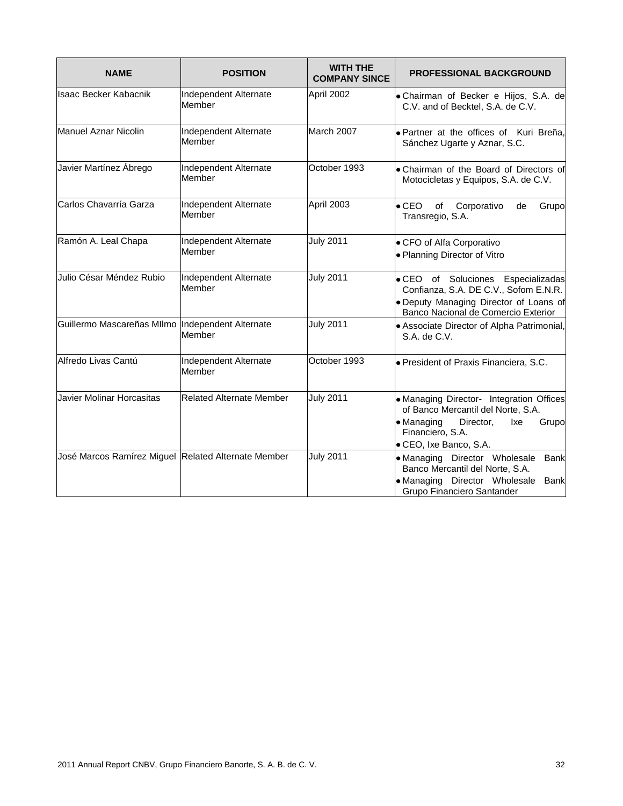| <b>NAME</b>                                         | <b>POSITION</b>                 | <b>WITH THE</b><br><b>COMPANY SINCE</b> | <b>PROFESSIONAL BACKGROUND</b>                                                                                                                                          |
|-----------------------------------------------------|---------------------------------|-----------------------------------------|-------------------------------------------------------------------------------------------------------------------------------------------------------------------------|
| Isaac Becker Kabacnik                               | Independent Alternate<br>Member | April 2002                              | · Chairman of Becker e Hijos, S.A. de<br>C.V. and of Becktel, S.A. de C.V.                                                                                              |
| Manuel Aznar Nicolin                                | Independent Alternate<br>Member | March 2007                              | . Partner at the offices of Kuri Breña,<br>Sánchez Ugarte y Aznar, S.C.                                                                                                 |
| Javier Martínez Ábrego                              | Independent Alternate<br>Member | October 1993                            | . Chairman of the Board of Directors of<br>Motocicletas y Equipos, S.A. de C.V.                                                                                         |
| Carlos Chavarría Garza                              | Independent Alternate<br>Member | April 2003                              | $\bullet$ CEO<br>of<br>Corporativo<br>de<br>Grupo<br>Transregio, S.A.                                                                                                   |
| Ramón A. Leal Chapa                                 | Independent Alternate<br>Member | <b>July 2011</b>                        | • CFO of Alfa Corporativo<br>• Planning Director of Vitro                                                                                                               |
| Julio César Méndez Rubio                            | Independent Alternate<br>Member | <b>July 2011</b>                        | · CEO of Soluciones Especializadas<br>Confianza, S.A. DE C.V., Sofom E.N.R.<br>. Deputy Managing Director of Loans of<br>Banco Nacional de Comercio Exterior            |
| Guillermo Mascareñas MIImo                          | Independent Alternate<br>Member | <b>July 2011</b>                        | • Associate Director of Alpha Patrimonial,<br>S.A. de C.V.                                                                                                              |
| Alfredo Livas Cantú                                 | Independent Alternate<br>Member | October 1993                            | · President of Praxis Financiera, S.C.                                                                                                                                  |
| Javier Molinar Horcasitas                           | <b>Related Alternate Member</b> | <b>July 2011</b>                        | • Managing Director- Integration Offices<br>of Banco Mercantil del Norte, S.A.<br>• Managing<br>Director,<br>Grupo<br>lxe<br>Financiero, S.A.<br>· CEO, Ixe Banco, S.A. |
| José Marcos Ramírez Miguel Related Alternate Member |                                 | <b>July 2011</b>                        | · Managing Director Wholesale<br><b>Bank</b><br>Banco Mercantil del Norte, S.A.<br>• Managing Director Wholesale<br><b>Bank</b><br>Grupo Financiero Santander           |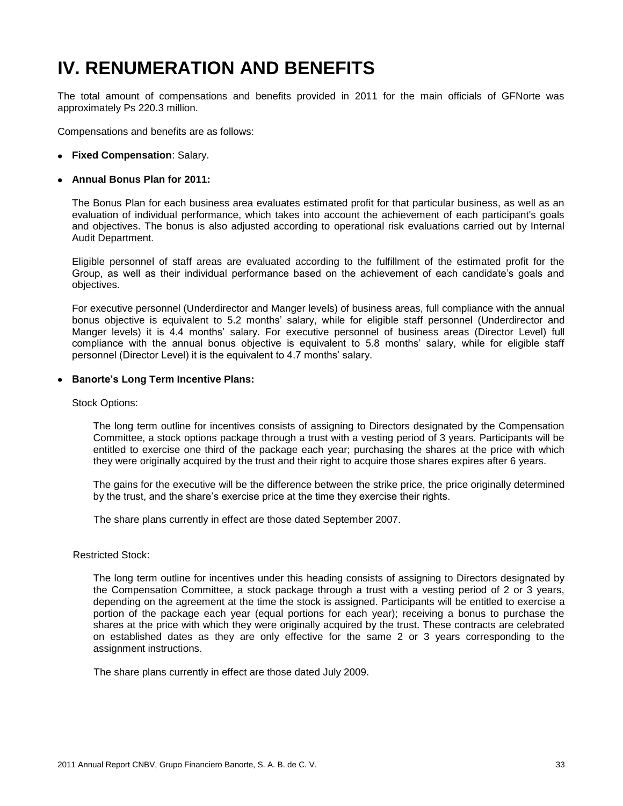## **IV. RENUMERATION AND BENEFITS**

The total amount of compensations and benefits provided in 2011 for the main officials of GFNorte was approximately Ps 220.3 million.

Compensations and benefits are as follows:

**Fixed Compensation**: Salary.

#### **Annual Bonus Plan for 2011:**

The Bonus Plan for each business area evaluates estimated profit for that particular business, as well as an evaluation of individual performance, which takes into account the achievement of each participant's goals and objectives. The bonus is also adjusted according to operational risk evaluations carried out by Internal Audit Department.

Eligible personnel of staff areas are evaluated according to the fulfillment of the estimated profit for the Group, as well as their individual performance based on the achievement of each candidate's goals and objectives.

For executive personnel (Underdirector and Manger levels) of business areas, full compliance with the annual bonus objective is equivalent to 5.2 months' salary, while for eligible staff personnel (Underdirector and Manger levels) it is 4.4 months' salary. For executive personnel of business areas (Director Level) full compliance with the annual bonus objective is equivalent to 5.8 months' salary, while for eligible staff personnel (Director Level) it is the equivalent to 4.7 months' salary.

**Banorte's Long Term Incentive Plans:**

Stock Options:

The long term outline for incentives consists of assigning to Directors designated by the Compensation Committee, a stock options package through a trust with a vesting period of 3 years. Participants will be entitled to exercise one third of the package each year; purchasing the shares at the price with which they were originally acquired by the trust and their right to acquire those shares expires after 6 years.

The gains for the executive will be the difference between the strike price, the price originally determined by the trust, and the share's exercise price at the time they exercise their rights.

The share plans currently in effect are those dated September 2007.

Restricted Stock:

The long term outline for incentives under this heading consists of assigning to Directors designated by the Compensation Committee, a stock package through a trust with a vesting period of 2 or 3 years, depending on the agreement at the time the stock is assigned. Participants will be entitled to exercise a portion of the package each year (equal portions for each year); receiving a bonus to purchase the shares at the price with which they were originally acquired by the trust. These contracts are celebrated on established dates as they are only effective for the same 2 or 3 years corresponding to the assignment instructions.

The share plans currently in effect are those dated July 2009.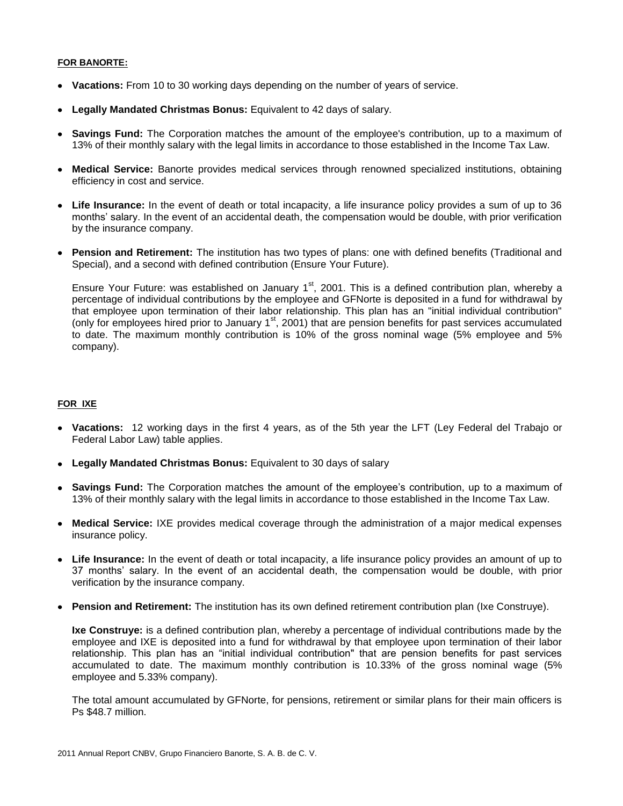#### **FOR BANORTE:**

- **Vacations:** From 10 to 30 working days depending on the number of years of service.
- **Legally Mandated Christmas Bonus:** Equivalent to 42 days of salary.
- **Savings Fund:** The Corporation matches the amount of the employee's contribution, up to a maximum of 13% of their monthly salary with the legal limits in accordance to those established in the Income Tax Law.
- **Medical Service:** Banorte provides medical services through renowned specialized institutions, obtaining efficiency in cost and service.
- **Life Insurance:** In the event of death or total incapacity, a life insurance policy provides a sum of up to 36 months' salary. In the event of an accidental death, the compensation would be double, with prior verification by the insurance company.
- **Pension and Retirement:** The institution has two types of plans: one with defined benefits (Traditional and Special), and a second with defined contribution (Ensure Your Future).

Ensure Your Future: was established on January 1<sup>st</sup>, 2001. This is a defined contribution plan, whereby a percentage of individual contributions by the employee and GFNorte is deposited in a fund for withdrawal by that employee upon termination of their labor relationship. This plan has an "initial individual contribution" (only for employees hired prior to January 1<sup>st</sup>, 2001) that are pension benefits for past services accumulated to date. The maximum monthly contribution is 10% of the gross nominal wage (5% employee and 5% company).

#### **FOR IXE**

- **Vacations:** 12 working days in the first 4 years, as of the 5th year the LFT (Ley Federal del Trabajo or Federal Labor Law) table applies.
- **Legally Mandated Christmas Bonus:** Equivalent to 30 days of salary
- **Savings Fund:** The Corporation matches the amount of the employee's contribution, up to a maximum of 13% of their monthly salary with the legal limits in accordance to those established in the Income Tax Law.
- **Medical Service:** IXE provides medical coverage through the administration of a major medical expenses insurance policy.
- **Life Insurance:** In the event of death or total incapacity, a life insurance policy provides an amount of up to 37 months' salary. In the event of an accidental death, the compensation would be double, with prior verification by the insurance company.
- **Pension and Retirement:** The institution has its own defined retirement contribution plan (Ixe Construye).

**Ixe Construye:** is a defined contribution plan, whereby a percentage of individual contributions made by the employee and IXE is deposited into a fund for withdrawal by that employee upon termination of their labor relationship. This plan has an "initial individual contribution" that are pension benefits for past services accumulated to date. The maximum monthly contribution is 10.33% of the gross nominal wage (5% employee and 5.33% company).

The total amount accumulated by GFNorte, for pensions, retirement or similar plans for their main officers is Ps \$48.7 million.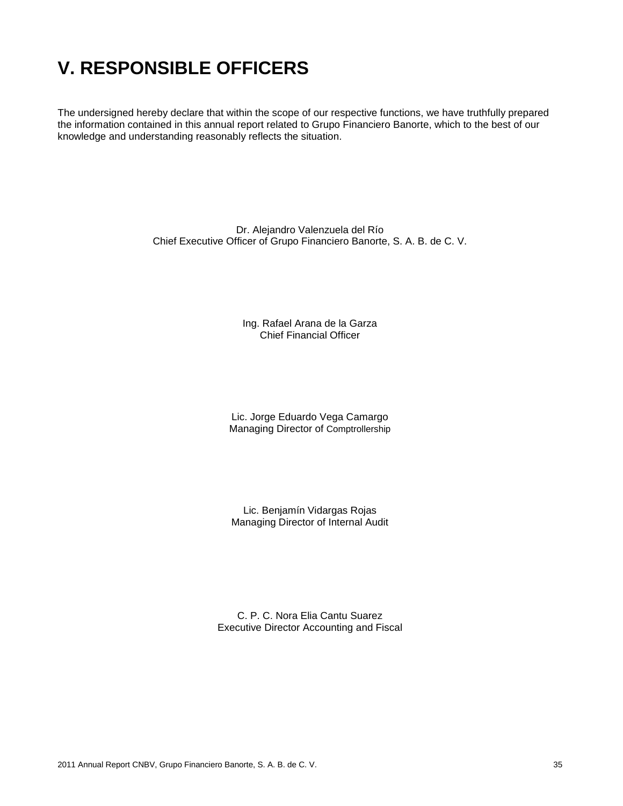### **V. RESPONSIBLE OFFICERS**

The undersigned hereby declare that within the scope of our respective functions, we have truthfully prepared the information contained in this annual report related to Grupo Financiero Banorte, which to the best of our knowledge and understanding reasonably reflects the situation.

> Dr. Alejandro Valenzuela del Río Chief Executive Officer of Grupo Financiero Banorte, S. A. B. de C. V.

> > Ing. Rafael Arana de la Garza Chief Financial Officer

Lic. Jorge Eduardo Vega Camargo Managing Director of Comptrollership

Lic. Benjamín Vidargas Rojas Managing Director of Internal Audit

C. P. C. Nora Elia Cantu Suarez Executive Director Accounting and Fiscal